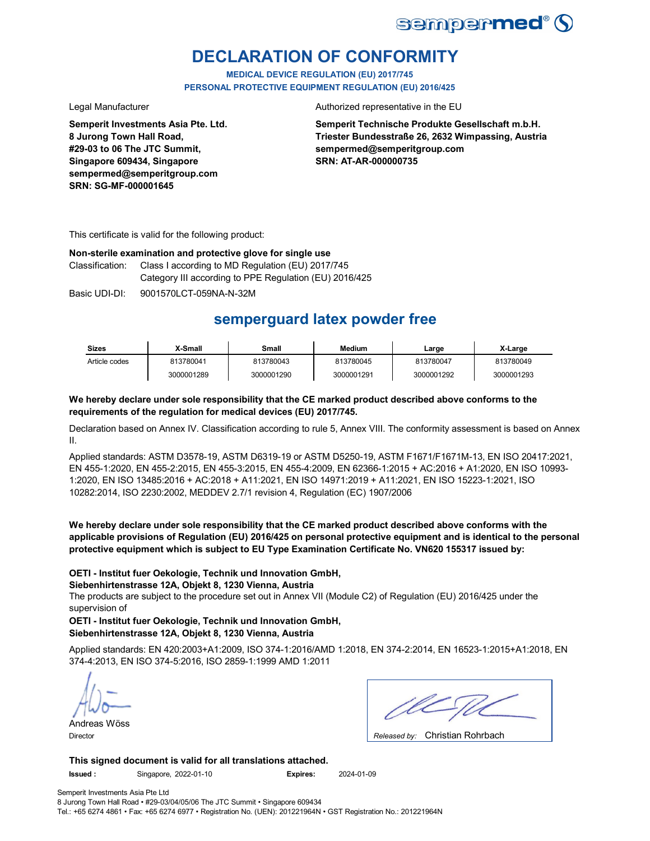

## **DECLARATION OF CONFORMITY**

**MEDICAL DEVICE REGULATION (EU) 2017/745 PERSONAL PROTECTIVE EQUIPMENT REGULATION (EU) 2016/425**

**Semperit Investments Asia Pte. Ltd. 8 Jurong Town Hall Road, #29-03 to 06 The JTC Summit, Singapore 609434, Singapore sempermed@semperitgroup.com SRN: SG-MF-000001645**

#### Legal Manufacturer **Authorized representative in the EU**

**Semperit Technische Produkte Gesellschaft m.b.H. Triester Bundesstraße 26, 2632 Wimpassing, Austria sempermed@semperitgroup.com SRN: AT-AR-000000735**

This certificate is valid for the following product:

#### **Non-sterile examination and protective glove for single use**

Classification: Class I according to MD Regulation (EU) 2017/745 Category III according to PPE Regulation (EU) 2016/425

Basic UDI-DI: 9001570LCT-059NA-N-32M

## **semperguard latex powder free**

| <b>Sizes</b>  | <b>X-Small</b> | Small      | Medium     | ∟arge      | X-Large    |
|---------------|----------------|------------|------------|------------|------------|
| Article codes | 813780041      | 813780043  | 813780045  | 813780047  | 813780049  |
|               | 3000001289     | 3000001290 | 3000001291 | 3000001292 | 3000001293 |

#### **We hereby declare under sole responsibility that the CE marked product described above conforms to the requirements of the regulation for medical devices (EU) 2017/745.**

Declaration based on Annex IV. Classification according to rule 5, Annex VIII. The conformity assessment is based on Annex II.

Applied standards: ASTM D3578-19, ASTM D6319-19 or ASTM D5250-19, ASTM F1671/F1671M-13, EN ISO 20417:2021, EN 455-1:2020, EN 455-2:2015, EN 455-3:2015, EN 455-4:2009, EN 62366-1:2015 + AC:2016 + A1:2020, EN ISO 10993- 1:2020, EN ISO 13485:2016 + AC:2018 + A11:2021, EN ISO 14971:2019 + A11:2021, EN ISO 15223-1:2021, ISO 10282:2014, ISO 2230:2002, MEDDEV 2.7/1 revision 4, Regulation (EC) 1907/2006

**We hereby declare under sole responsibility that the CE marked product described above conforms with the applicable provisions of Regulation (EU) 2016/425 on personal protective equipment and is identical to the personal protective equipment which is subject to EU Type Examination Certificate No. VN620 155317 issued by:**

#### **OETI - Institut fuer Oekologie, Technik und Innovation GmbH,**

#### **Siebenhirtenstrasse 12A, Objekt 8, 1230 Vienna, Austria**

The products are subject to the procedure set out in Annex VII (Module C2) of Regulation (EU) 2016/425 under the supervision of

**OETI - Institut fuer Oekologie, Technik und Innovation GmbH, Siebenhirtenstrasse 12A, Objekt 8, 1230 Vienna, Austria**

Applied standards: EN 420:2003+A1:2009, ISO 374-1:2016/AMD 1:2018, EN 374-2:2014, EN 16523-1:2015+A1:2018, EN 374-4:2013, EN ISO 374-5:2016, ISO 2859-1:1999 AMD 1:2011

Andreas Wöss

| . . | $\sim$ $\sim$ $\sim$ $\sim$ $\sim$ $\sim$ $\sim$ |  |
|-----|--------------------------------------------------|--|

Christian Rohrbach Director *Released by:* 

**This signed document is valid for all translations attached.**

**Issued :** Singapore, 2022-01-10 **Expires:** 2024-01-09

Semperit Investments Asia Pte Ltd 8 Jurong Town Hall Road • #29-03/04/05/06 The JTC Summit • Singapore 609434 Tel.: +65 6274 4861 • Fax: +65 6274 6977 • Registration No. (UEN): 201221964N • GST Registration No.: 201221964N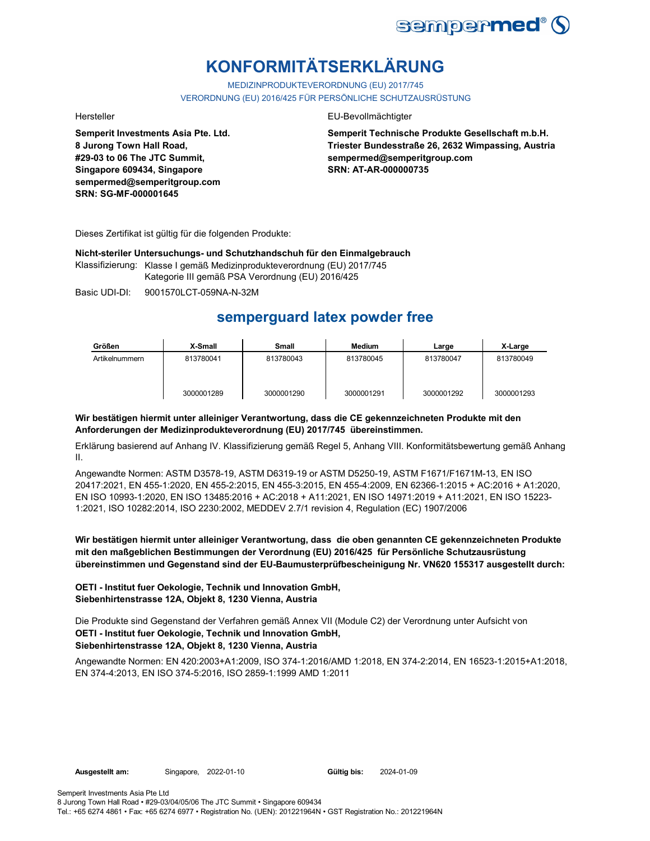

# **KONFORMITÄTSERKLÄRUNG**

MEDIZINPRODUKTEVERORDNUNG (EU) 2017/745 VERORDNUNG (EU) 2016/425 FÜR PERSÖNLICHE SCHUTZAUSRÜSTUNG

**Semperit Investments Asia Pte. Ltd. 8 Jurong Town Hall Road, #29-03 to 06 The JTC Summit, Singapore 609434, Singapore sempermed@semperitgroup.com SRN: SG-MF-000001645**

#### Hersteller EU-Bevollmächtigter

**Semperit Technische Produkte Gesellschaft m.b.H. Triester Bundesstraße 26, 2632 Wimpassing, Austria sempermed@semperitgroup.com SRN: AT-AR-000000735**

Dieses Zertifikat ist gültig für die folgenden Produkte:

**Nicht-steriler Untersuchungs- und Schutzhandschuh für den Einmalgebrauch**

Klassifizierung: Klasse I gemäß Medizinprodukteverordnung (EU) 2017/745 Kategorie III gemäß PSA Verordnung (EU) 2016/425

Basic UDI-DI: 9001570LCT-059NA-N-32M

## **semperguard latex powder free**

| Größen         | X-Small    | <b>Small</b> | <b>Medium</b> | Large      | X-Large    |
|----------------|------------|--------------|---------------|------------|------------|
| Artikelnummern | 813780041  | 813780043    | 813780045     | 813780047  | 813780049  |
|                | 3000001289 | 3000001290   | 3000001291    | 3000001292 | 3000001293 |

#### **Wir bestätigen hiermit unter alleiniger Verantwortung, dass die CE gekennzeichneten Produkte mit den Anforderungen der Medizinprodukteverordnung (EU) 2017/745 übereinstimmen.**

Erklärung basierend auf Anhang IV. Klassifizierung gemäß Regel 5, Anhang VIII. Konformitätsbewertung gemäß Anhang II.

Angewandte Normen: ASTM D3578-19, ASTM D6319-19 or ASTM D5250-19, ASTM F1671/F1671M-13, EN ISO 20417:2021, EN 455-1:2020, EN 455-2:2015, EN 455-3:2015, EN 455-4:2009, EN 62366-1:2015 + AC:2016 + A1:2020, EN ISO 10993-1:2020, EN ISO 13485:2016 + AC:2018 + A11:2021, EN ISO 14971:2019 + A11:2021, EN ISO 15223- 1:2021, ISO 10282:2014, ISO 2230:2002, MEDDEV 2.7/1 revision 4, Regulation (EC) 1907/2006

**Wir bestätigen hiermit unter alleiniger Verantwortung, dass die oben genannten CE gekennzeichneten Produkte mit den maßgeblichen Bestimmungen der Verordnung (EU) 2016/425 für Persönliche Schutzausrüstung übereinstimmen und Gegenstand sind der EU-Baumusterprüfbescheinigung Nr. VN620 155317 ausgestellt durch:**

### **OETI - Institut fuer Oekologie, Technik und Innovation GmbH, Siebenhirtenstrasse 12A, Objekt 8, 1230 Vienna, Austria**

**OETI - Institut fuer Oekologie, Technik und Innovation GmbH, Siebenhirtenstrasse 12A, Objekt 8, 1230 Vienna, Austria** Die Produkte sind Gegenstand der Verfahren gemäß Annex VII (Module C2) der Verordnung unter Aufsicht von

# Angewandte Normen: EN 420:2003+A1:2009, ISO 374-1:2016/AMD 1:2018, EN 374-2:2014, EN 16523-1:2015+A1:2018,

EN 374-4:2013, EN ISO 374-5:2016, ISO 2859-1:1999 AMD 1:2011

Semperit Investments Asia Pte Ltd 8 Jurong Town Hall Road • #29-03/04/05/06 The JTC Summit • Singapore 609434

Tel.: +65 6274 4861 • Fax: +65 6274 6977 • Registration No. (UEN): 201221964N • GST Registration No.: 201221964N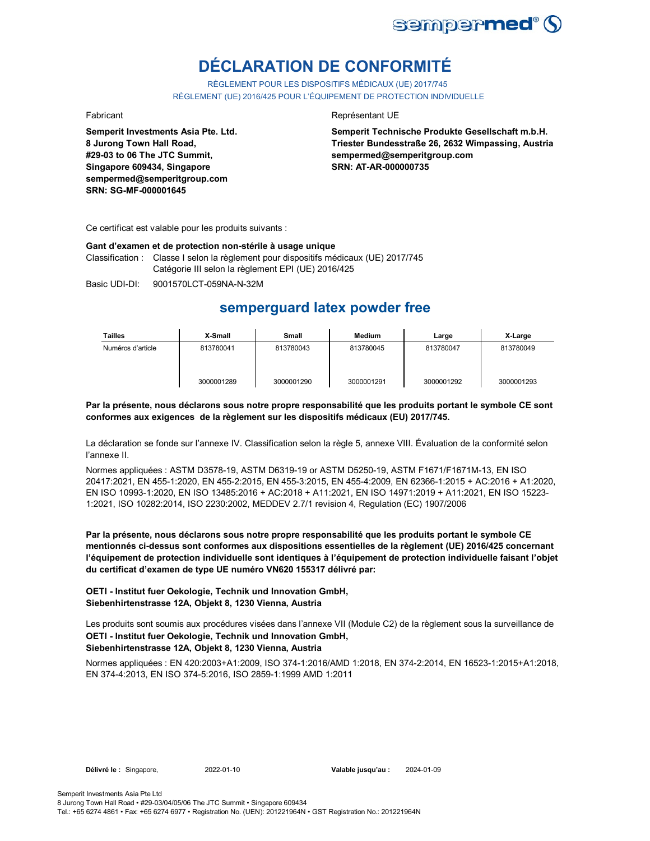

# **DÉCLARATION DE CONFORMITÉ**

RÈGLEMENT POUR LES DISPOSITIFS MÉDICAUX (UE) 2017/745 RÈGLEMENT (UE) 2016/425 POUR L'ÉQUIPEMENT DE PROTECTION INDIVIDUELLE

**Semperit Investments Asia Pte. Ltd. 8 Jurong Town Hall Road, #29-03 to 06 The JTC Summit, Singapore 609434, Singapore sempermed@semperitgroup.com SRN: SG-MF-000001645**

#### Fabricant **Representant UE**

**Semperit Technische Produkte Gesellschaft m.b.H. Triester Bundesstraße 26, 2632 Wimpassing, Austria sempermed@semperitgroup.com SRN: AT-AR-000000735**

Ce certificat est valable pour les produits suivants :

#### **Gant d'examen et de protection non-stérile à usage unique**

Classification : Classe I selon la règlement pour dispositifs médicaux (UE) 2017/745 Catégorie III selon la règlement EPI (UE) 2016/425

Basic UDI-DI: 9001570LCT-059NA-N-32M

## **semperguard latex powder free**

| <b>Tailles</b>    | X-Small    | Small      | <b>Medium</b> | Large      | X-Large    |
|-------------------|------------|------------|---------------|------------|------------|
| Numéros d'article | 813780041  | 813780043  | 813780045     | 813780047  | 813780049  |
|                   | 3000001289 | 3000001290 | 3000001291    | 3000001292 | 3000001293 |

#### **Par la présente, nous déclarons sous notre propre responsabilité que les produits portant le symbole CE sont conformes aux exigences de la règlement sur les dispositifs médicaux (EU) 2017/745.**

La déclaration se fonde sur l'annexe IV. Classification selon la règle 5, annexe VIII. Évaluation de la conformité selon l'annexe II.

Normes appliquées : ASTM D3578-19, ASTM D6319-19 or ASTM D5250-19, ASTM F1671/F1671M-13, EN ISO 20417:2021, EN 455-1:2020, EN 455-2:2015, EN 455-3:2015, EN 455-4:2009, EN 62366-1:2015 + AC:2016 + A1:2020, EN ISO 10993-1:2020, EN ISO 13485:2016 + AC:2018 + A11:2021, EN ISO 14971:2019 + A11:2021, EN ISO 15223- 1:2021, ISO 10282:2014, ISO 2230:2002, MEDDEV 2.7/1 revision 4, Regulation (EC) 1907/2006

**Par la présente, nous déclarons sous notre propre responsabilité que les produits portant le symbole CE mentionnés ci-dessus sont conformes aux dispositions essentielles de la règlement (UE) 2016/425 concernant l'équipement de protection individuelle sont identiques à l'équipement de protection individuelle faisant l'objet du certificat d'examen de type UE numéro VN620 155317 délivré par:**

#### **OETI - Institut fuer Oekologie, Technik und Innovation GmbH, Siebenhirtenstrasse 12A, Objekt 8, 1230 Vienna, Austria**

**OETI - Institut fuer Oekologie, Technik und Innovation GmbH, Siebenhirtenstrasse 12A, Objekt 8, 1230 Vienna, Austria** Les produits sont soumis aux procédures visées dans l'annexe VII (Module C2) de la règlement sous la surveillance de

Normes appliquées : EN 420:2003+A1:2009, ISO 374-1:2016/AMD 1:2018, EN 374-2:2014, EN 16523-1:2015+A1:2018, EN 374-4:2013, EN ISO 374-5:2016, ISO 2859-1:1999 AMD 1:2011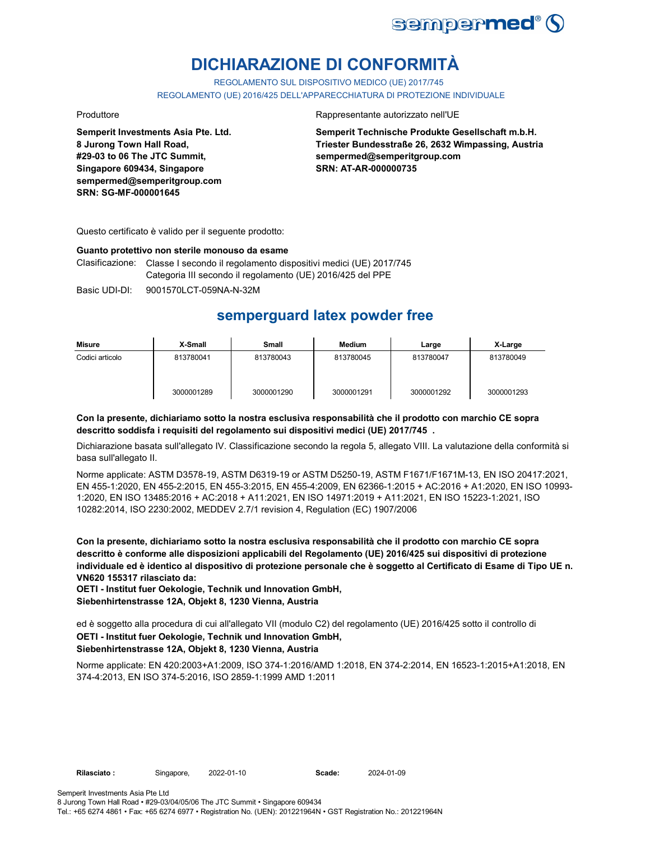

# **DICHIARAZIONE DI CONFORMITÀ**

REGOLAMENTO SUL DISPOSITIVO MEDICO (UE) 2017/745

REGOLAMENTO (UE) 2016/425 DELL'APPARECCHIATURA DI PROTEZIONE INDIVIDUALE

**Semperit Investments Asia Pte. Ltd. 8 Jurong Town Hall Road, #29-03 to 06 The JTC Summit, Singapore 609434, Singapore sempermed@semperitgroup.com SRN: SG-MF-000001645**

#### Produttore Rappresentante autorizzato nell'UE

**Semperit Technische Produkte Gesellschaft m.b.H. Triester Bundesstraße 26, 2632 Wimpassing, Austria sempermed@semperitgroup.com SRN: AT-AR-000000735**

Questo certificato è valido per il seguente prodotto:

#### **Guanto protettivo non sterile monouso da esame**

Clasificazione: Classe I secondo il regolamento dispositivi medici (UE) 2017/745 Categoria III secondo il regolamento (UE) 2016/425 del PPE

Basic UDI-DI: 9001570LCT-059NA-N-32M

## **semperguard latex powder free**

| Misure          | X-Small    | Small      | Medium     | Large      | X-Large    |
|-----------------|------------|------------|------------|------------|------------|
| Codici articolo | 813780041  | 813780043  | 813780045  | 813780047  | 813780049  |
|                 | 3000001289 | 3000001290 | 3000001291 | 3000001292 | 3000001293 |

#### **Con la presente, dichiariamo sotto la nostra esclusiva responsabilità che il prodotto con marchio CE sopra descritto soddisfa i requisiti del regolamento sui dispositivi medici (UE) 2017/745 .**

Dichiarazione basata sull'allegato IV. Classificazione secondo la regola 5, allegato VIII. La valutazione della conformità si basa sull'allegato II.

Norme applicate: ASTM D3578-19, ASTM D6319-19 or ASTM D5250-19, ASTM F1671/F1671M-13, EN ISO 20417:2021, EN 455-1:2020, EN 455-2:2015, EN 455-3:2015, EN 455-4:2009, EN 62366-1:2015 + AC:2016 + A1:2020, EN ISO 10993- 1:2020, EN ISO 13485:2016 + AC:2018 + A11:2021, EN ISO 14971:2019 + A11:2021, EN ISO 15223-1:2021, ISO 10282:2014, ISO 2230:2002, MEDDEV 2.7/1 revision 4, Regulation (EC) 1907/2006

**Con la presente, dichiariamo sotto la nostra esclusiva responsabilità che il prodotto con marchio CE sopra descritto è conforme alle disposizioni applicabili del Regolamento (UE) 2016/425 sui dispositivi di protezione individuale ed è identico al dispositivo di protezione personale che è soggetto al Certificato di Esame di Tipo UE n. VN620 155317 rilasciato da:**

**OETI - Institut fuer Oekologie, Technik und Innovation GmbH, Siebenhirtenstrasse 12A, Objekt 8, 1230 Vienna, Austria**

**OETI - Institut fuer Oekologie, Technik und Innovation GmbH,**  ed è soggetto alla procedura di cui all'allegato VII (modulo C2) del regolamento (UE) 2016/425 sotto il controllo di

### **Siebenhirtenstrasse 12A, Objekt 8, 1230 Vienna, Austria**

Norme applicate: EN 420:2003+A1:2009, ISO 374-1:2016/AMD 1:2018, EN 374-2:2014, EN 16523-1:2015+A1:2018, EN 374-4:2013, EN ISO 374-5:2016, ISO 2859-1:1999 AMD 1:2011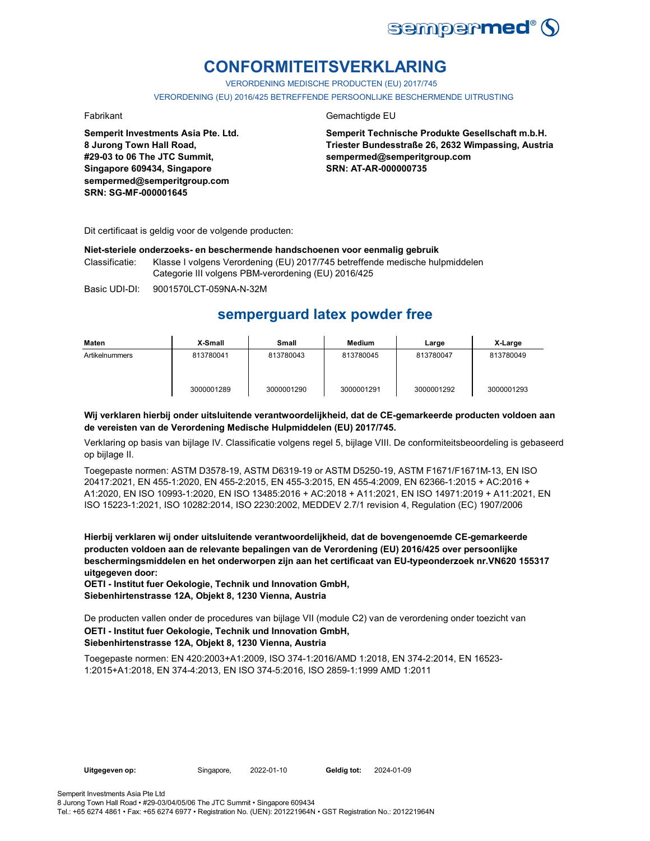

## **CONFORMITEITSVERKLARING**

VERORDENING MEDISCHE PRODUCTEN (EU) 2017/745

VERORDENING (EU) 2016/425 BETREFFENDE PERSOONLIJKE BESCHERMENDE UITRUSTING

**Semperit Investments Asia Pte. Ltd. 8 Jurong Town Hall Road, #29-03 to 06 The JTC Summit, Singapore 609434, Singapore sempermed@semperitgroup.com SRN: SG-MF-000001645**

### Fabrikant Gemachtigde EU

**Semperit Technische Produkte Gesellschaft m.b.H. Triester Bundesstraße 26, 2632 Wimpassing, Austria sempermed@semperitgroup.com SRN: AT-AR-000000735**

Dit certificaat is geldig voor de volgende producten:

#### **Niet-steriele onderzoeks- en beschermende handschoenen voor eenmalig gebruik**

Classificatie: Klasse I volgens Verordening (EU) 2017/745 betreffende medische hulpmiddelen Categorie III volgens PBM-verordening (EU) 2016/425

Basic UDI-DI: 9001570LCT-059NA-N-32M

## **semperguard latex powder free**

| Maten          | X-Small    | Small      | Medium     | Large      | X-Large    |
|----------------|------------|------------|------------|------------|------------|
| Artikelnummers | 813780041  | 813780043  | 813780045  | 813780047  | 813780049  |
|                | 3000001289 | 3000001290 | 3000001291 | 3000001292 | 3000001293 |

#### **Wij verklaren hierbij onder uitsluitende verantwoordelijkheid, dat de CE-gemarkeerde producten voldoen aan de vereisten van de Verordening Medische Hulpmiddelen (EU) 2017/745.**

Verklaring op basis van bijlage IV. Classificatie volgens regel 5, bijlage VIII. De conformiteitsbeoordeling is gebaseerd op bijlage II.

Toegepaste normen: ASTM D3578-19, ASTM D6319-19 or ASTM D5250-19, ASTM F1671/F1671M-13, EN ISO 20417:2021, EN 455-1:2020, EN 455-2:2015, EN 455-3:2015, EN 455-4:2009, EN 62366-1:2015 + AC:2016 + A1:2020, EN ISO 10993-1:2020, EN ISO 13485:2016 + AC:2018 + A11:2021, EN ISO 14971:2019 + A11:2021, EN ISO 15223-1:2021, ISO 10282:2014, ISO 2230:2002, MEDDEV 2.7/1 revision 4, Regulation (EC) 1907/2006

**Hierbij verklaren wij onder uitsluitende verantwoordelijkheid, dat de bovengenoemde CE-gemarkeerde producten voldoen aan de relevante bepalingen van de Verordening (EU) 2016/425 over persoonlijke beschermingsmiddelen en het onderworpen zijn aan het certificaat van EU-typeonderzoek nr.VN620 155317 uitgegeven door:**

**OETI - Institut fuer Oekologie, Technik und Innovation GmbH, Siebenhirtenstrasse 12A, Objekt 8, 1230 Vienna, Austria**

**OETI - Institut fuer Oekologie, Technik und Innovation GmbH, Siebenhirtenstrasse 12A, Objekt 8, 1230 Vienna, Austria** De producten vallen onder de procedures van bijlage VII (module C2) van de verordening onder toezicht van

Toegepaste normen: EN 420:2003+A1:2009, ISO 374-1:2016/AMD 1:2018, EN 374-2:2014, EN 16523- 1:2015+A1:2018, EN 374-4:2013, EN ISO 374-5:2016, ISO 2859-1:1999 AMD 1:2011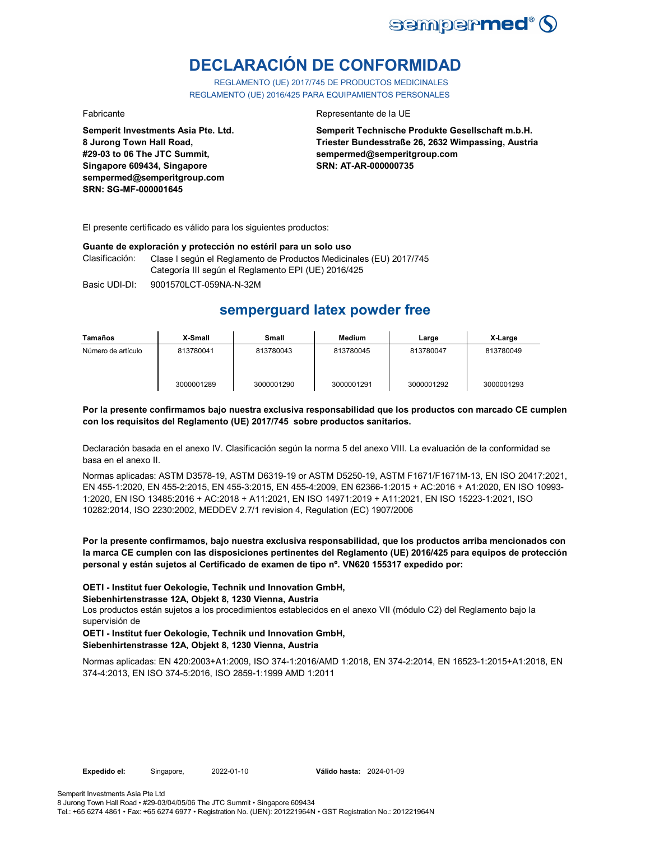

# **DECLARACIÓN DE CONFORMIDAD**

REGLAMENTO (UE) 2017/745 DE PRODUCTOS MEDICINALES REGLAMENTO (UE) 2016/425 PARA EQUIPAMIENTOS PERSONALES

**Semperit Investments Asia Pte. Ltd. 8 Jurong Town Hall Road, #29-03 to 06 The JTC Summit, Singapore 609434, Singapore sempermed@semperitgroup.com SRN: SG-MF-000001645**

#### Fabricante Representante de la UE

**Semperit Technische Produkte Gesellschaft m.b.H. Triester Bundesstraße 26, 2632 Wimpassing, Austria sempermed@semperitgroup.com SRN: AT-AR-000000735**

El presente certificado es válido para los siguientes productos:

#### **Guante de exploración y protección no estéril para un solo uso**

Clasificación: Clase I según el Reglamento de Productos Medicinales (EU) 2017/745 Categoría III según el Reglamento EPI (UE) 2016/425

Basic UDI-DI: 9001570LCT-059NA-N-32M

## **semperguard latex powder free**

| Tamaños            | X-Small    | Small      | Medium     | Large      | X-Large    |
|--------------------|------------|------------|------------|------------|------------|
| Número de artículo | 813780041  | 813780043  | 813780045  | 813780047  | 813780049  |
|                    | 3000001289 | 3000001290 | 3000001291 | 3000001292 | 3000001293 |

#### **Por la presente confirmamos bajo nuestra exclusiva responsabilidad que los productos con marcado CE cumplen con los requisitos del Reglamento (UE) 2017/745 sobre productos sanitarios.**

Declaración basada en el anexo IV. Clasificación según la norma 5 del anexo VIII. La evaluación de la conformidad se basa en el anexo II.

Normas aplicadas: ASTM D3578-19, ASTM D6319-19 or ASTM D5250-19, ASTM F1671/F1671M-13, EN ISO 20417:2021, EN 455-1:2020, EN 455-2:2015, EN 455-3:2015, EN 455-4:2009, EN 62366-1:2015 + AC:2016 + A1:2020, EN ISO 10993- 1:2020, EN ISO 13485:2016 + AC:2018 + A11:2021, EN ISO 14971:2019 + A11:2021, EN ISO 15223-1:2021, ISO 10282:2014, ISO 2230:2002, MEDDEV 2.7/1 revision 4, Regulation (EC) 1907/2006

**Por la presente confirmamos, bajo nuestra exclusiva responsabilidad, que los productos arriba mencionados con la marca CE cumplen con las disposiciones pertinentes del Reglamento (UE) 2016/425 para equipos de protección personal y están sujetos al Certificado de examen de tipo nº. VN620 155317 expedido por:**

**OETI - Institut fuer Oekologie, Technik und Innovation GmbH,** 

**Siebenhirtenstrasse 12A, Objekt 8, 1230 Vienna, Austria**

Los productos están sujetos a los procedimientos establecidos en el anexo VII (módulo C2) del Reglamento bajo la supervisión de

#### **OETI - Institut fuer Oekologie, Technik und Innovation GmbH, Siebenhirtenstrasse 12A, Objekt 8, 1230 Vienna, Austria**

Normas aplicadas: EN 420:2003+A1:2009, ISO 374-1:2016/AMD 1:2018, EN 374-2:2014, EN 16523-1:2015+A1:2018, EN 374-4:2013, EN ISO 374-5:2016, ISO 2859-1:1999 AMD 1:2011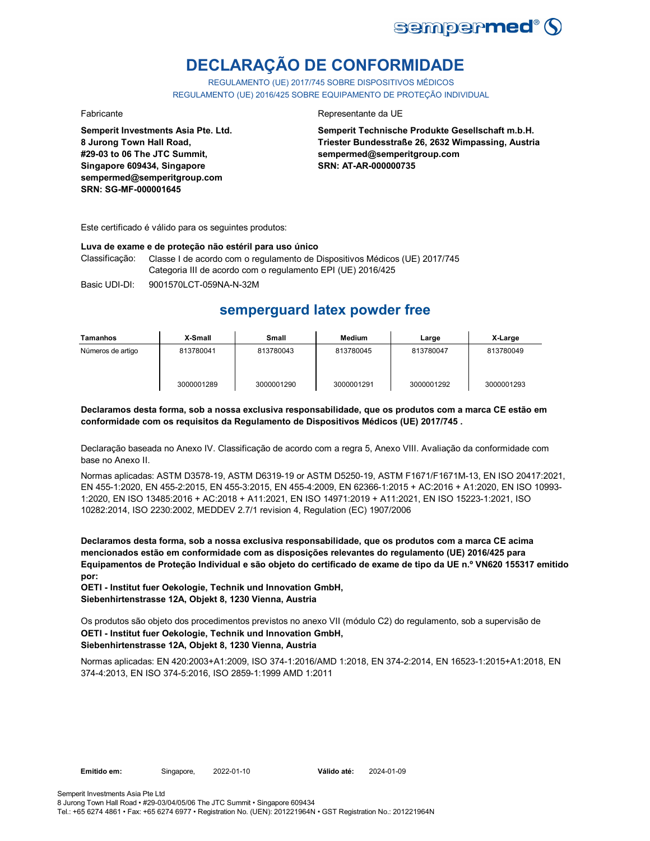

# **DECLARAÇÃO DE CONFORMIDADE**

REGULAMENTO (UE) 2017/745 SOBRE DISPOSITIVOS MÉDICOS REGULAMENTO (UE) 2016/425 SOBRE EQUIPAMENTO DE PROTEÇÃO INDIVIDUAL

**Semperit Investments Asia Pte. Ltd. 8 Jurong Town Hall Road, #29-03 to 06 The JTC Summit, Singapore 609434, Singapore sempermed@semperitgroup.com SRN: SG-MF-000001645**

#### Fabricante Representante da UE

**Semperit Technische Produkte Gesellschaft m.b.H. Triester Bundesstraße 26, 2632 Wimpassing, Austria sempermed@semperitgroup.com SRN: AT-AR-000000735**

Este certificado é válido para os seguintes produtos:

#### **Luva de exame e de proteção não estéril para uso único**

Classificação: Classe I de acordo com o regulamento de Dispositivos Médicos (UE) 2017/745 Categoria III de acordo com o regulamento EPI (UE) 2016/425

Basic UDI-DI: 9001570LCT-059NA-N-32M

## **semperguard latex powder free**

| Tamanhos          | X-Small    | Small      | Medium     | Large      | X-Large    |
|-------------------|------------|------------|------------|------------|------------|
| Números de artigo | 813780041  | 813780043  | 813780045  | 813780047  | 813780049  |
|                   | 3000001289 | 3000001290 | 3000001291 | 3000001292 | 3000001293 |

**Declaramos desta forma, sob a nossa exclusiva responsabilidade, que os produtos com a marca CE estão em conformidade com os requisitos da Regulamento de Dispositivos Médicos (UE) 2017/745 .**

Declaração baseada no Anexo IV. Classificação de acordo com a regra 5, Anexo VIII. Avaliação da conformidade com base no Anexo II.

Normas aplicadas: ASTM D3578-19, ASTM D6319-19 or ASTM D5250-19, ASTM F1671/F1671M-13, EN ISO 20417:2021, EN 455-1:2020, EN 455-2:2015, EN 455-3:2015, EN 455-4:2009, EN 62366-1:2015 + AC:2016 + A1:2020, EN ISO 10993- 1:2020, EN ISO 13485:2016 + AC:2018 + A11:2021, EN ISO 14971:2019 + A11:2021, EN ISO 15223-1:2021, ISO 10282:2014, ISO 2230:2002, MEDDEV 2.7/1 revision 4, Regulation (EC) 1907/2006

**Declaramos desta forma, sob a nossa exclusiva responsabilidade, que os produtos com a marca CE acima mencionados estão em conformidade com as disposições relevantes do regulamento (UE) 2016/425 para Equipamentos de Proteção Individual e são objeto do certificado de exame de tipo da UE n.º VN620 155317 emitido por:**

**OETI - Institut fuer Oekologie, Technik und Innovation GmbH, Siebenhirtenstrasse 12A, Objekt 8, 1230 Vienna, Austria**

**OETI - Institut fuer Oekologie, Technik und Innovation GmbH, Siebenhirtenstrasse 12A, Objekt 8, 1230 Vienna, Austria** Os produtos são objeto dos procedimentos previstos no anexo VII (módulo C2) do regulamento, sob a supervisão de

Normas aplicadas: EN 420:2003+A1:2009, ISO 374-1:2016/AMD 1:2018, EN 374-2:2014, EN 16523-1:2015+A1:2018, EN 374-4:2013, EN ISO 374-5:2016, ISO 2859-1:1999 AMD 1:2011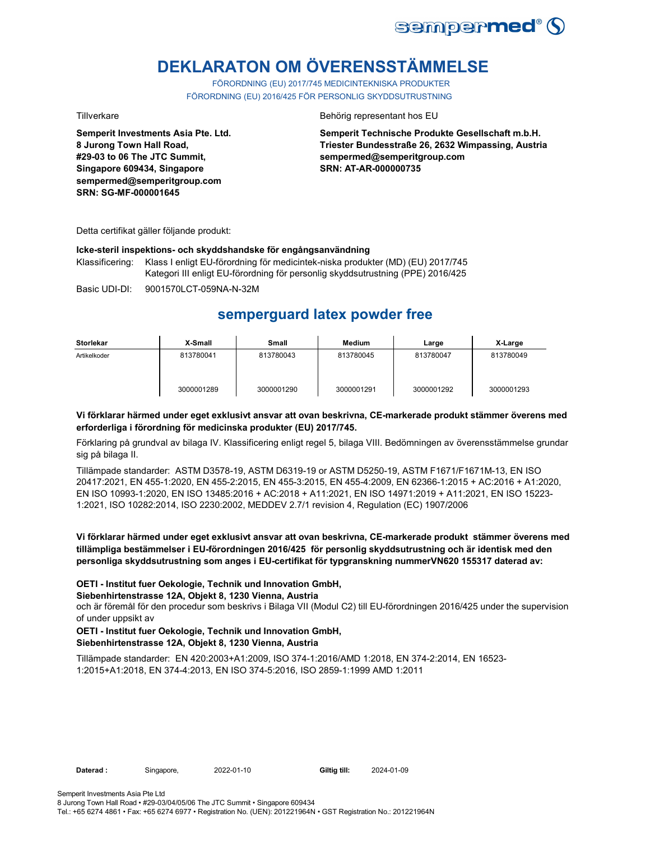

# **DEKLARATON OM ÖVERENSSTÄMMELSE**

FÖRORDNING (EU) 2017/745 MEDICINTEKNISKA PRODUKTER FÖRORDNING (EU) 2016/425 FÖR PERSONLIG SKYDDSUTRUSTNING

**Semperit Investments Asia Pte. Ltd. 8 Jurong Town Hall Road, #29-03 to 06 The JTC Summit, Singapore 609434, Singapore sempermed@semperitgroup.com SRN: SG-MF-000001645**

#### Tillverkare Behörig representant hos EU

**Semperit Technische Produkte Gesellschaft m.b.H. Triester Bundesstraße 26, 2632 Wimpassing, Austria sempermed@semperitgroup.com SRN: AT-AR-000000735**

Detta certifikat gäller följande produkt:

#### **Icke-steril inspektions- och skyddshandske för engångsanvändning**

Klassificering: Klass I enligt EU-förordning för medicintek-niska produkter (MD) (EU) 2017/745 Kategori III enligt EU-förordning för personlig skyddsutrustning (PPE) 2016/425

Basic UDI-DI: 9001570LCT-059NA-N-32M

## **semperguard latex powder free**

| <b>Storlekar</b> | X-Small    | <b>Small</b> | <b>Medium</b> | Large      | X-Large    |
|------------------|------------|--------------|---------------|------------|------------|
| Artikelkoder     | 813780041  | 813780043    | 813780045     | 813780047  | 813780049  |
|                  | 3000001289 | 3000001290   | 3000001291    | 3000001292 | 3000001293 |

#### **Vi förklarar härmed under eget exklusivt ansvar att ovan beskrivna, CE-markerade produkt stämmer överens med erforderliga i förordning för medicinska produkter (EU) 2017/745.**

Förklaring på grundval av bilaga IV. Klassificering enligt regel 5, bilaga VIII. Bedömningen av överensstämmelse grundar sig på bilaga II.

Tillämpade standarder: ASTM D3578-19, ASTM D6319-19 or ASTM D5250-19, ASTM F1671/F1671M-13, EN ISO 20417:2021, EN 455-1:2020, EN 455-2:2015, EN 455-3:2015, EN 455-4:2009, EN 62366-1:2015 + AC:2016 + A1:2020, EN ISO 10993-1:2020, EN ISO 13485:2016 + AC:2018 + A11:2021, EN ISO 14971:2019 + A11:2021, EN ISO 15223- 1:2021, ISO 10282:2014, ISO 2230:2002, MEDDEV 2.7/1 revision 4, Regulation (EC) 1907/2006

#### **Vi förklarar härmed under eget exklusivt ansvar att ovan beskrivna, CE-markerade produkt stämmer överens med tillämpliga bestämmelser i EU-förordningen 2016/425 för personlig skyddsutrustning och är identisk med den personliga skyddsutrustning som anges i EU-certifikat för typgranskning nummerVN620 155317 daterad av:**

#### **OETI - Institut fuer Oekologie, Technik und Innovation GmbH,**

#### **Siebenhirtenstrasse 12A, Objekt 8, 1230 Vienna, Austria**

och är föremål för den procedur som beskrivs i Bilaga VII (Modul C2) till EU-förordningen 2016/425 under the supervision of under uppsikt av

#### **OETI - Institut fuer Oekologie, Technik und Innovation GmbH, Siebenhirtenstrasse 12A, Objekt 8, 1230 Vienna, Austria**

Tillämpade standarder: EN 420:2003+A1:2009, ISO 374-1:2016/AMD 1:2018, EN 374-2:2014, EN 16523- 1:2015+A1:2018, EN 374-4:2013, EN ISO 374-5:2016, ISO 2859-1:1999 AMD 1:2011

**Daterad :** Singapore, 2022-01-10 **Giltig till:** 2024-01-09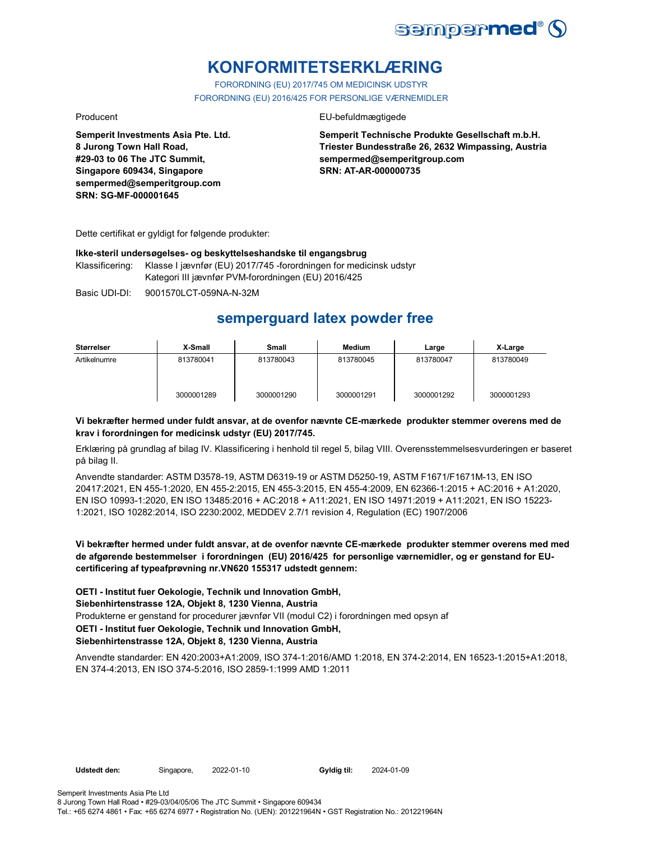

## **KONFORMITETSERKLÆRING**

FORORDNING (EU) 2017/745 OM MEDICINSK UDSTYR FORORDNING (EU) 2016/425 FOR PERSONLIGE VÆRNEMIDLER

**Semperit Investments Asia Pte. Ltd. 8 Jurong Town Hall Road, #29-03 to 06 The JTC Summit, Singapore 609434, Singapore sempermed@semperitgroup.com SRN: SG-MF-000001645**

#### Producent EU-befuldmægtigede

**Semperit Technische Produkte Gesellschaft m.b.H. Triester Bundesstraße 26, 2632 Wimpassing, Austria sempermed@semperitgroup.com SRN: AT-AR-000000735**

Dette certifikat er gyldigt for følgende produkter:

#### **Ikke-steril undersøgelses- og beskyttelseshandske til engangsbrug**

Klassificering: Klasse I jævnfør (EU) 2017/745 -forordningen for medicinsk udstyr Kategori III jævnfør PVM-forordningen (EU) 2016/425

Basic UDI-DI: 9001570LCT-059NA-N-32M

## **semperguard latex powder free**

| Størrelser   | X-Small    | Small      | Medium     | Large      | X-Large    |
|--------------|------------|------------|------------|------------|------------|
| Artikelnumre | 813780041  | 813780043  | 813780045  | 813780047  | 813780049  |
|              | 3000001289 | 3000001290 | 3000001291 | 3000001292 | 3000001293 |

#### **Vi bekræfter hermed under fuldt ansvar, at de ovenfor nævnte CE-mærkede produkter stemmer overens med de krav i forordningen for medicinsk udstyr (EU) 2017/745.**

Erklæring på grundlag af bilag IV. Klassificering i henhold til regel 5, bilag VIII. Overensstemmelsesvurderingen er baseret på bilag II.

Anvendte standarder: ASTM D3578-19, ASTM D6319-19 or ASTM D5250-19, ASTM F1671/F1671M-13, EN ISO 20417:2021, EN 455-1:2020, EN 455-2:2015, EN 455-3:2015, EN 455-4:2009, EN 62366-1:2015 + AC:2016 + A1:2020, EN ISO 10993-1:2020, EN ISO 13485:2016 + AC:2018 + A11:2021, EN ISO 14971:2019 + A11:2021, EN ISO 15223- 1:2021, ISO 10282:2014, ISO 2230:2002, MEDDEV 2.7/1 revision 4, Regulation (EC) 1907/2006

### **Vi bekræfter hermed under fuldt ansvar, at de ovenfor nævnte CE-mærkede produkter stemmer overens med med de afgørende bestemmelser i forordningen (EU) 2016/425 for personlige værnemidler, og er genstand for EUcertificering af typeafprøvning nr.VN620 155317 udstedt gennem:**

**OETI - Institut fuer Oekologie, Technik und Innovation GmbH,** 

### **Siebenhirtenstrasse 12A, Objekt 8, 1230 Vienna, Austria**

Produkterne er genstand for procedurer jævnfør VII (modul C2) i forordningen med opsyn af

### **OETI - Institut fuer Oekologie, Technik und Innovation GmbH,**

#### **Siebenhirtenstrasse 12A, Objekt 8, 1230 Vienna, Austria**

Anvendte standarder: EN 420:2003+A1:2009, ISO 374-1:2016/AMD 1:2018, EN 374-2:2014, EN 16523-1:2015+A1:2018, EN 374-4:2013, EN ISO 374-5:2016, ISO 2859-1:1999 AMD 1:2011

**Udstedt den:** Singapore, 2022-01-10 **Gyldig til:** 2024-01-09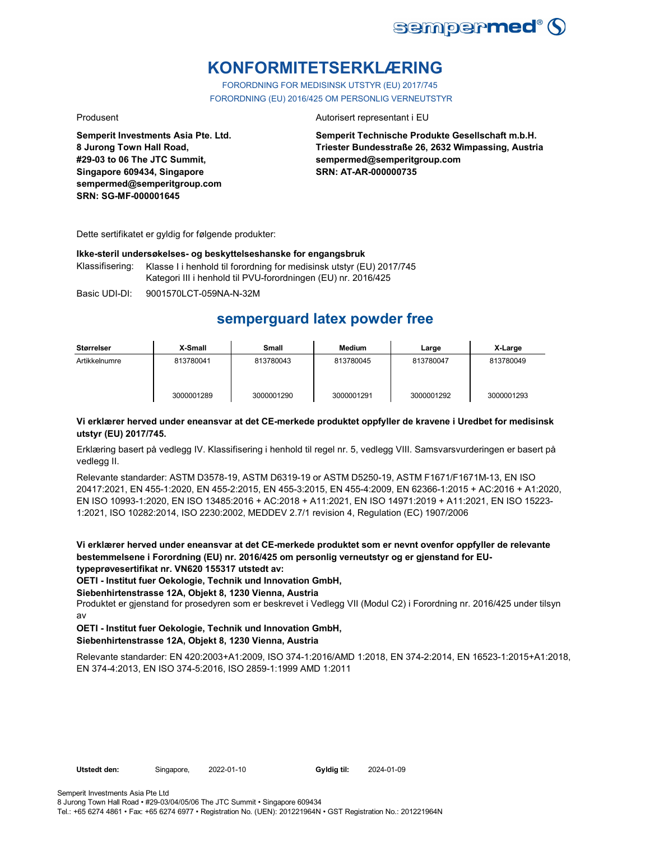

## **KONFORMITETSERKLÆRING**

FORORDNING FOR MEDISINSK UTSTYR (EU) 2017/745 FORORDNING (EU) 2016/425 OM PERSONLIG VERNEUTSTYR

**Semperit Investments Asia Pte. Ltd. 8 Jurong Town Hall Road, #29-03 to 06 The JTC Summit, Singapore 609434, Singapore sempermed@semperitgroup.com SRN: SG-MF-000001645**

#### Produsent **Autorisert representant i EU**

**Semperit Technische Produkte Gesellschaft m.b.H. Triester Bundesstraße 26, 2632 Wimpassing, Austria sempermed@semperitgroup.com SRN: AT-AR-000000735**

Dette sertifikatet er gyldig for følgende produkter:

#### **Ikke-steril undersøkelses- og beskyttelseshanske for engangsbruk**

Klassifisering: Klasse I i henhold til forordning for medisinsk utstyr (EU) 2017/745 Kategori III i henhold til PVU-forordningen (EU) nr. 2016/425

Basic UDI-DI: 9001570LCT-059NA-N-32M

## **semperguard latex powder free**

| Størrelser    | X-Small    | Small      | Medium     | Large      | X-Large    |
|---------------|------------|------------|------------|------------|------------|
| Artikkelnumre | 813780041  | 813780043  | 813780045  | 813780047  | 813780049  |
|               | 3000001289 | 3000001290 | 3000001291 | 3000001292 | 3000001293 |

#### **Vi erklærer herved under eneansvar at det CE-merkede produktet oppfyller de kravene i Uredbet for medisinsk utstyr (EU) 2017/745.**

Erklæring basert på vedlegg IV. Klassifisering i henhold til regel nr. 5, vedlegg VIII. Samsvarsvurderingen er basert på vedlegg II.

Relevante standarder: ASTM D3578-19, ASTM D6319-19 or ASTM D5250-19, ASTM F1671/F1671M-13, EN ISO 20417:2021, EN 455-1:2020, EN 455-2:2015, EN 455-3:2015, EN 455-4:2009, EN 62366-1:2015 + AC:2016 + A1:2020, EN ISO 10993-1:2020, EN ISO 13485:2016 + AC:2018 + A11:2021, EN ISO 14971:2019 + A11:2021, EN ISO 15223- 1:2021, ISO 10282:2014, ISO 2230:2002, MEDDEV 2.7/1 revision 4, Regulation (EC) 1907/2006

**Vi erklærer herved under eneansvar at det CE-merkede produktet som er nevnt ovenfor oppfyller de relevante bestemmelsene i Forordning (EU) nr. 2016/425 om personlig verneutstyr og er gjenstand for EUtypeprøvesertifikat nr. VN620 155317 utstedt av:**

**OETI - Institut fuer Oekologie, Technik und Innovation GmbH,** 

#### **Siebenhirtenstrasse 12A, Objekt 8, 1230 Vienna, Austria**

Produktet er gjenstand for prosedyren som er beskrevet i Vedlegg VII (Modul C2) i Forordning nr. 2016/425 under tilsyn av

#### **OETI - Institut fuer Oekologie, Technik und Innovation GmbH, Siebenhirtenstrasse 12A, Objekt 8, 1230 Vienna, Austria**

Relevante standarder: EN 420:2003+A1:2009, ISO 374-1:2016/AMD 1:2018, EN 374-2:2014, EN 16523-1:2015+A1:2018, EN 374-4:2013, EN ISO 374-5:2016, ISO 2859-1:1999 AMD 1:2011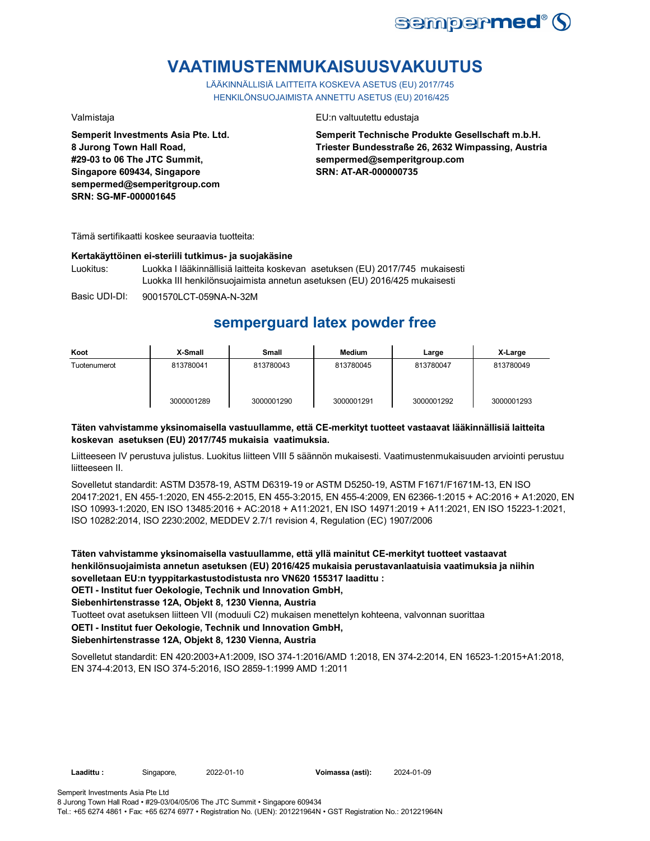

## **VAATIMUSTENMUKAISUUSVAKUUTUS**

LÄÄKINNÄLLISIÄ LAITTEITA KOSKEVA ASETUS (EU) 2017/745 HENKILÖNSUOJAIMISTA ANNETTU ASETUS (EU) 2016/425

**Semperit Investments Asia Pte. Ltd. 8 Jurong Town Hall Road, #29-03 to 06 The JTC Summit, Singapore 609434, Singapore sempermed@semperitgroup.com SRN: SG-MF-000001645**

#### Valmistaja EU:n valtuutettu edustaja

**Semperit Technische Produkte Gesellschaft m.b.H. Triester Bundesstraße 26, 2632 Wimpassing, Austria sempermed@semperitgroup.com SRN: AT-AR-000000735**

Tämä sertifikaatti koskee seuraavia tuotteita:

#### **Kertakäyttöinen ei-steriili tutkimus- ja suojakäsine**

Luokitus: Luokka I lääkinnällisiä laitteita koskevan asetuksen (EU) 2017/745 mukaisesti Luokka III henkilönsuojaimista annetun asetuksen (EU) 2016/425 mukaisesti

Basic UDI-DI: 9001570LCT-059NA-N-32M

## **semperguard latex powder free**

| Koot         | X-Small    | Small      | <b>Medium</b> | Large      | X-Large    |
|--------------|------------|------------|---------------|------------|------------|
| Tuotenumerot | 813780041  | 813780043  | 813780045     | 813780047  | 813780049  |
|              | 3000001289 | 3000001290 | 3000001291    | 3000001292 | 3000001293 |

### **Täten vahvistamme yksinomaisella vastuullamme, että CE-merkityt tuotteet vastaavat lääkinnällisiä laitteita koskevan asetuksen (EU) 2017/745 mukaisia vaatimuksia.**

Liitteeseen IV perustuva julistus. Luokitus liitteen VIII 5 säännön mukaisesti. Vaatimustenmukaisuuden arviointi perustuu liitteeseen II.

Sovelletut standardit: ASTM D3578-19, ASTM D6319-19 or ASTM D5250-19, ASTM F1671/F1671M-13, EN ISO 20417:2021, EN 455-1:2020, EN 455-2:2015, EN 455-3:2015, EN 455-4:2009, EN 62366-1:2015 + AC:2016 + A1:2020, EN ISO 10993-1:2020, EN ISO 13485:2016 + AC:2018 + A11:2021, EN ISO 14971:2019 + A11:2021, EN ISO 15223-1:2021, ISO 10282:2014, ISO 2230:2002, MEDDEV 2.7/1 revision 4, Regulation (EC) 1907/2006

**Täten vahvistamme yksinomaisella vastuullamme, että yllä mainitut CE-merkityt tuotteet vastaavat henkilönsuojaimista annetun asetuksen (EU) 2016/425 mukaisia perustavanlaatuisia vaatimuksia ja niihin sovelletaan EU:n tyyppitarkastustodistusta nro VN620 155317 laadittu : OETI - Institut fuer Oekologie, Technik und Innovation GmbH,** 

**Siebenhirtenstrasse 12A, Objekt 8, 1230 Vienna, Austria**

Tuotteet ovat asetuksen liitteen VII (moduuli C2) mukaisen menettelyn kohteena, valvonnan suorittaa

#### **OETI - Institut fuer Oekologie, Technik und Innovation GmbH,**

### **Siebenhirtenstrasse 12A, Objekt 8, 1230 Vienna, Austria**

Sovelletut standardit: EN 420:2003+A1:2009, ISO 374-1:2016/AMD 1:2018, EN 374-2:2014, EN 16523-1:2015+A1:2018, EN 374-4:2013, EN ISO 374-5:2016, ISO 2859-1:1999 AMD 1:2011

**Laadittu :** Singapore, 2022-01-10 **Voimassa (asti):** 2024-01-09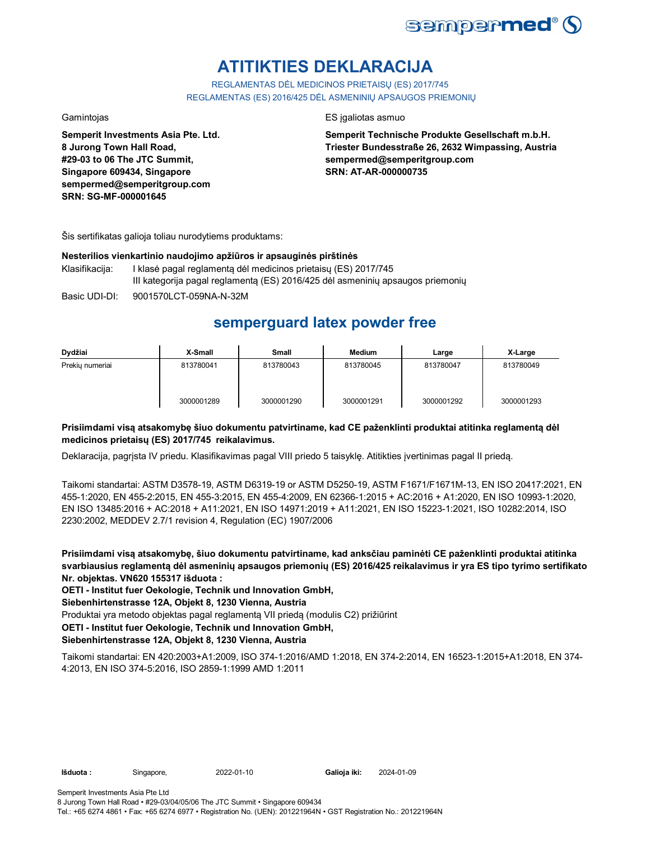

# **ATITIKTIES DEKLARACIJA**

REGLAMENTAS DĖL MEDICINOS PRIETAISŲ (ES) 2017/745 REGLAMENTAS (ES) 2016/425 DĖL ASMENINIŲ APSAUGOS PRIEMONIŲ

**Semperit Investments Asia Pte. Ltd. 8 Jurong Town Hall Road, #29-03 to 06 The JTC Summit, Singapore 609434, Singapore sempermed@semperitgroup.com SRN: SG-MF-000001645**

#### Gamintojas ES įgaliotas asmuo

**Semperit Technische Produkte Gesellschaft m.b.H. Triester Bundesstraße 26, 2632 Wimpassing, Austria sempermed@semperitgroup.com SRN: AT-AR-000000735**

Šis sertifikatas galioja toliau nurodytiems produktams:

#### **Nesterilios vienkartinio naudojimo apžiūros ir apsauginės pirštinės**

- Klasifikacija: I klasė pagal reglamentą dėl medicinos prietaisų (ES) 2017/745 III kategorija pagal reglamentą (ES) 2016/425 dėl asmeninių apsaugos priemonių
- Basic UDI-DI: 9001570LCT-059NA-N-32M

## **semperguard latex powder free**

| Dydžiai         | X-Small    | <b>Small</b> | <b>Medium</b> | Large      | X-Large    |
|-----------------|------------|--------------|---------------|------------|------------|
| Prekiu numeriai | 813780041  | 813780043    | 813780045     | 813780047  | 813780049  |
|                 | 3000001289 | 3000001290   | 3000001291    | 3000001292 | 3000001293 |

### **Prisiimdami visą atsakomybę šiuo dokumentu patvirtiname, kad CE paženklinti produktai atitinka reglamentą dėl medicinos prietaisų (ES) 2017/745 reikalavimus.**

Deklaracija, pagrįsta IV priedu. Klasifikavimas pagal VIII priedo 5 taisyklę. Atitikties įvertinimas pagal II priedą.

Taikomi standartai: ASTM D3578-19, ASTM D6319-19 or ASTM D5250-19, ASTM F1671/F1671M-13, EN ISO 20417:2021, EN 455-1:2020, EN 455-2:2015, EN 455-3:2015, EN 455-4:2009, EN 62366-1:2015 + AC:2016 + A1:2020, EN ISO 10993-1:2020, EN ISO 13485:2016 + AC:2018 + A11:2021, EN ISO 14971:2019 + A11:2021, EN ISO 15223-1:2021, ISO 10282:2014, ISO 2230:2002, MEDDEV 2.7/1 revision 4, Regulation (EC) 1907/2006

**Prisiimdami visą atsakomybę, šiuo dokumentu patvirtiname, kad anksčiau paminėti CE paženklinti produktai atitinka svarbiausius reglamentą dėl asmeninių apsaugos priemonių (ES) 2016/425 reikalavimus ir yra ES tipo tyrimo sertifikato Nr. objektas. VN620 155317 išduota :**

**OETI - Institut fuer Oekologie, Technik und Innovation GmbH,** 

**Siebenhirtenstrasse 12A, Objekt 8, 1230 Vienna, Austria**

Produktai yra metodo objektas pagal reglamentą VII priedą (modulis C2) prižiūrint

**OETI - Institut fuer Oekologie, Technik und Innovation GmbH,** 

### **Siebenhirtenstrasse 12A, Objekt 8, 1230 Vienna, Austria**

Taikomi standartai: EN 420:2003+A1:2009, ISO 374-1:2016/AMD 1:2018, EN 374-2:2014, EN 16523-1:2015+A1:2018, EN 374- 4:2013, EN ISO 374-5:2016, ISO 2859-1:1999 AMD 1:2011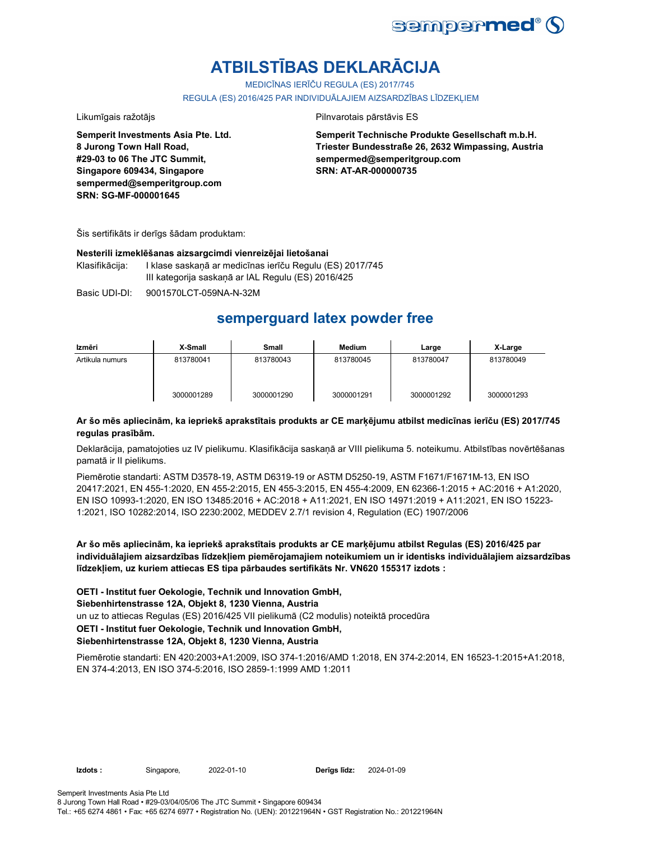

# **ATBILSTĪBAS DEKLARĀCIJA**

MEDICĪNAS IERĪČU REGULA (ES) 2017/745

REGULA (ES) 2016/425 PAR INDIVIDUĀLAJIEM AIZSARDZĪBAS LĪDZEKLIEM

Likumīgais ražotājs **Pilnvarotais pārstāvis ES** 

**Semperit Investments Asia Pte. Ltd. 8 Jurong Town Hall Road, #29-03 to 06 The JTC Summit, Singapore 609434, Singapore sempermed@semperitgroup.com SRN: SG-MF-000001645**

**Semperit Technische Produkte Gesellschaft m.b.H. Triester Bundesstraße 26, 2632 Wimpassing, Austria sempermed@semperitgroup.com SRN: AT-AR-000000735**

Šis sertifikāts ir derīgs šādam produktam:

#### **Nesterili izmeklēšanas aizsargcimdi vienreizējai lietošanai**

Klasifikācija: I klase saskaņā ar medicīnas ierīču Regulu (ES) 2017/745 III kategorija saskaņā ar IAL Regulu (ES) 2016/425

Basic UDI-DI: 9001570LCT-059NA-N-32M

## **semperguard latex powder free**

| Izmēri          | X-Small    | Small      | Medium     | Large      | X-Large    |
|-----------------|------------|------------|------------|------------|------------|
| Artikula numurs | 813780041  | 813780043  | 813780045  | 813780047  | 813780049  |
|                 | 3000001289 | 3000001290 | 3000001291 | 3000001292 | 3000001293 |

### **Ar šo mēs apliecinām, ka iepriekš aprakstītais produkts ar CE marķējumu atbilst medicīnas ierīču (ES) 2017/745 regulas prasībām.**

Deklarācija, pamatojoties uz IV pielikumu. Klasifikācija saskaņā ar VIII pielikuma 5. noteikumu. Atbilstības novērtēšanas pamatā ir II pielikums.

Piemērotie standarti: ASTM D3578-19, ASTM D6319-19 or ASTM D5250-19, ASTM F1671/F1671M-13, EN ISO 20417:2021, EN 455-1:2020, EN 455-2:2015, EN 455-3:2015, EN 455-4:2009, EN 62366-1:2015 + AC:2016 + A1:2020, EN ISO 10993-1:2020, EN ISO 13485:2016 + AC:2018 + A11:2021, EN ISO 14971:2019 + A11:2021, EN ISO 15223- 1:2021, ISO 10282:2014, ISO 2230:2002, MEDDEV 2.7/1 revision 4, Regulation (EC) 1907/2006

**Ar šo mēs apliecinām, ka iepriekš aprakstītais produkts ar CE marķējumu atbilst Regulas (ES) 2016/425 par individuālajiem aizsardzības līdzekļiem piemērojamajiem noteikumiem un ir identisks individuālajiem aizsardzības līdzekļiem, uz kuriem attiecas ES tipa pārbaudes sertifikāts Nr. VN620 155317 izdots :**

**OETI - Institut fuer Oekologie, Technik und Innovation GmbH,** 

### **Siebenhirtenstrasse 12A, Objekt 8, 1230 Vienna, Austria**

un uz to attiecas Regulas (ES) 2016/425 VII pielikumā (C2 modulis) noteiktā procedūra

### **OETI - Institut fuer Oekologie, Technik und Innovation GmbH,**

#### **Siebenhirtenstrasse 12A, Objekt 8, 1230 Vienna, Austria**

Piemērotie standarti: EN 420:2003+A1:2009, ISO 374-1:2016/AMD 1:2018, EN 374-2:2014, EN 16523-1:2015+A1:2018, EN 374-4:2013, EN ISO 374-5:2016, ISO 2859-1:1999 AMD 1:2011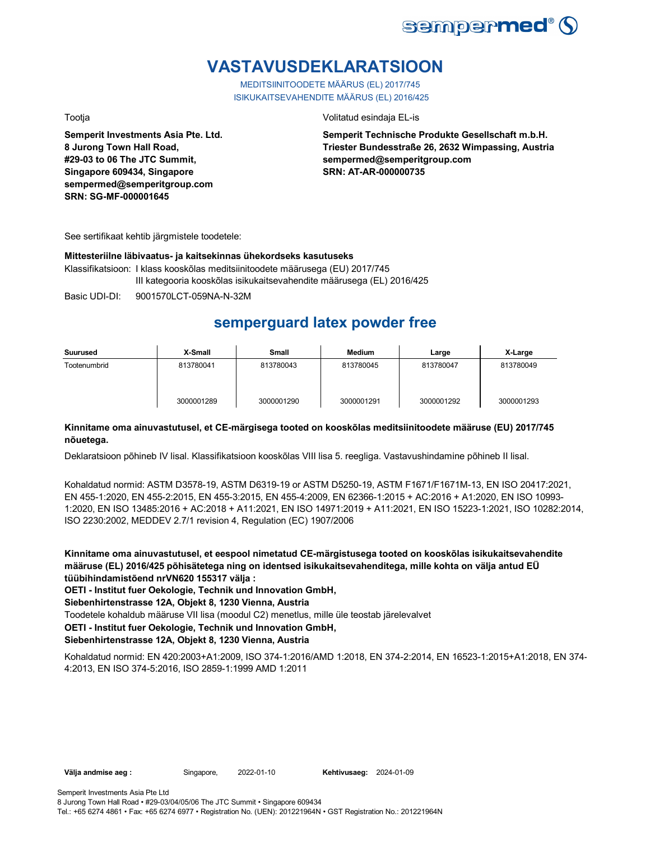

## **VASTAVUSDEKLARATSIOON**

MEDITSIINITOODETE MÄÄRUS (EL) 2017/745 ISIKUKAITSEVAHENDITE MÄÄRUS (EL) 2016/425

**Semperit Investments Asia Pte. Ltd. 8 Jurong Town Hall Road, #29-03 to 06 The JTC Summit, Singapore 609434, Singapore sempermed@semperitgroup.com SRN: SG-MF-000001645**

Tootja Volitatud esindaja EL-is

**Semperit Technische Produkte Gesellschaft m.b.H. Triester Bundesstraße 26, 2632 Wimpassing, Austria sempermed@semperitgroup.com SRN: AT-AR-000000735**

See sertifikaat kehtib järgmistele toodetele:

#### **Mittesteriilne läbivaatus- ja kaitsekinnas ühekordseks kasutuseks**

Klassifikatsioon: I klass kooskõlas meditsiinitoodete määrusega (EU) 2017/745 III kategooria kooskõlas isikukaitsevahendite määrusega (EL) 2016/425

Basic UDI-DI: 9001570LCT-059NA-N-32M

## **semperguard latex powder free**

| Suurused     | X-Small    | Small      | <b>Medium</b> | Large      | X-Large    |
|--------------|------------|------------|---------------|------------|------------|
| Tootenumbrid | 813780041  | 813780043  | 813780045     | 813780047  | 813780049  |
|              | 3000001289 | 3000001290 | 3000001291    | 3000001292 | 3000001293 |

### **Kinnitame oma ainuvastutusel, et CE-märgisega tooted on kooskõlas meditsiinitoodete määruse (EU) 2017/745 nõuetega.**

Deklaratsioon põhineb IV lisal. Klassifikatsioon kooskõlas VIII lisa 5. reegliga. Vastavushindamine põhineb II lisal.

Kohaldatud normid: ASTM D3578-19, ASTM D6319-19 or ASTM D5250-19, ASTM F1671/F1671M-13, EN ISO 20417:2021, EN 455-1:2020, EN 455-2:2015, EN 455-3:2015, EN 455-4:2009, EN 62366-1:2015 + AC:2016 + A1:2020, EN ISO 10993- 1:2020, EN ISO 13485:2016 + AC:2018 + A11:2021, EN ISO 14971:2019 + A11:2021, EN ISO 15223-1:2021, ISO 10282:2014, ISO 2230:2002, MEDDEV 2.7/1 revision 4, Regulation (EC) 1907/2006

**Kinnitame oma ainuvastutusel, et eespool nimetatud CE-märgistusega tooted on kooskõlas isikukaitsevahendite määruse (EL) 2016/425 põhisätetega ning on identsed isikukaitsevahenditega, mille kohta on välja antud EÜ tüübihindamistõend nrVN620 155317 välja :**

**OETI - Institut fuer Oekologie, Technik und Innovation GmbH,** 

**Siebenhirtenstrasse 12A, Objekt 8, 1230 Vienna, Austria**

Toodetele kohaldub määruse VII lisa (moodul C2) menetlus, mille üle teostab järelevalvet

**OETI - Institut fuer Oekologie, Technik und Innovation GmbH,** 

### **Siebenhirtenstrasse 12A, Objekt 8, 1230 Vienna, Austria**

Kohaldatud normid: EN 420:2003+A1:2009, ISO 374-1:2016/AMD 1:2018, EN 374-2:2014, EN 16523-1:2015+A1:2018, EN 374- 4:2013, EN ISO 374-5:2016, ISO 2859-1:1999 AMD 1:2011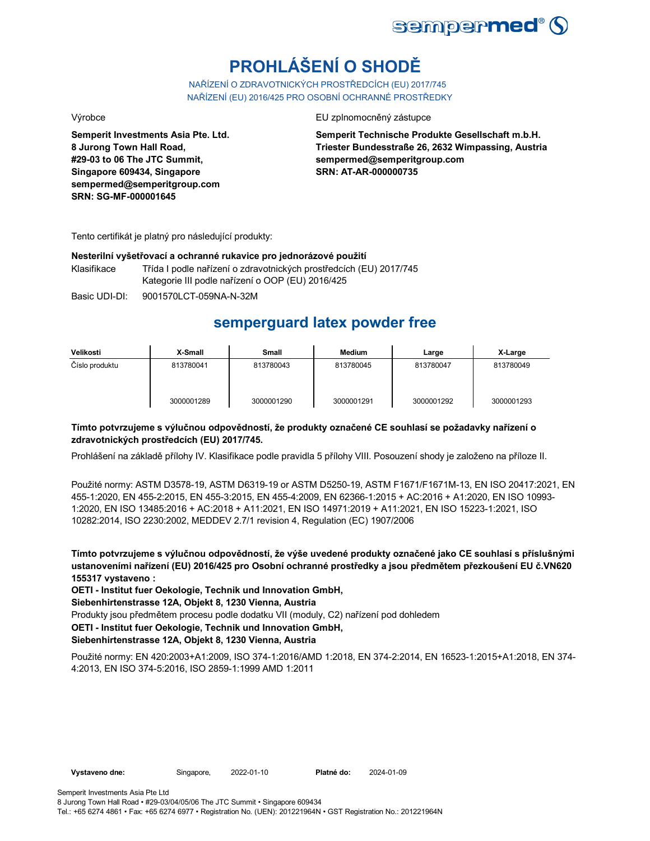

# **PROHLÁŠENÍ O SHODĚ**

NAŘÍZENÍ O ZDRAVOTNICKÝCH PROSTŘEDCÍCH (EU) 2017/745 NAŘÍZENÍ (EU) 2016/425 PRO OSOBNÍ OCHRANNÉ PROSTŘEDKY

**Semperit Investments Asia Pte. Ltd. 8 Jurong Town Hall Road, #29-03 to 06 The JTC Summit, Singapore 609434, Singapore sempermed@semperitgroup.com SRN: SG-MF-000001645**

Výrobce EU zplnomocněný zástupce

**Semperit Technische Produkte Gesellschaft m.b.H. Triester Bundesstraße 26, 2632 Wimpassing, Austria sempermed@semperitgroup.com SRN: AT-AR-000000735**

Tento certifikát je platný pro následující produkty:

#### **Nesterilní vyšetřovací a ochranné rukavice pro jednorázové použití**

Klasifikace Třída I podle nařízení o zdravotnických prostředcích (EU) 2017/745 Kategorie III podle nařízení o OOP (EU) 2016/425

Basic UDI-DI: 9001570LCT-059NA-N-32M

## **semperguard latex powder free**

| Velikosti      | X-Small    | Small      | <b>Medium</b> | Large      | X-Large    |
|----------------|------------|------------|---------------|------------|------------|
| Číslo produktu | 813780041  | 813780043  | 813780045     | 813780047  | 813780049  |
|                | 3000001289 | 3000001290 | 3000001291    | 3000001292 | 3000001293 |

### **Tímto potvrzujeme s výlučnou odpovědností, že produkty označené CE souhlasí se požadavky nařízení o zdravotnických prostředcích (EU) 2017/745.**

Prohlášení na základě přílohy IV. Klasifikace podle pravidla 5 přílohy VIII. Posouzení shody je založeno na příloze II.

Použité normy: ASTM D3578-19, ASTM D6319-19 or ASTM D5250-19, ASTM F1671/F1671M-13, EN ISO 20417:2021, EN 455-1:2020, EN 455-2:2015, EN 455-3:2015, EN 455-4:2009, EN 62366-1:2015 + AC:2016 + A1:2020, EN ISO 10993- 1:2020, EN ISO 13485:2016 + AC:2018 + A11:2021, EN ISO 14971:2019 + A11:2021, EN ISO 15223-1:2021, ISO 10282:2014, ISO 2230:2002, MEDDEV 2.7/1 revision 4, Regulation (EC) 1907/2006

**Tímto potvrzujeme s výlučnou odpovědností, že výše uvedené produkty označené jako CE souhlasí s příslušnými ustanoveními nařízení (EU) 2016/425 pro Osobní ochranné prostředky a jsou předmětem přezkoušení EU č.VN620 155317 vystaveno :**

**OETI - Institut fuer Oekologie, Technik und Innovation GmbH,** 

**Siebenhirtenstrasse 12A, Objekt 8, 1230 Vienna, Austria**

Produkty jsou předmětem procesu podle dodatku VII (moduly, C2) nařízení pod dohledem

**OETI - Institut fuer Oekologie, Technik und Innovation GmbH,** 

### **Siebenhirtenstrasse 12A, Objekt 8, 1230 Vienna, Austria**

Použité normy: EN 420:2003+A1:2009, ISO 374-1:2016/AMD 1:2018, EN 374-2:2014, EN 16523-1:2015+A1:2018, EN 374- 4:2013, EN ISO 374-5:2016, ISO 2859-1:1999 AMD 1:2011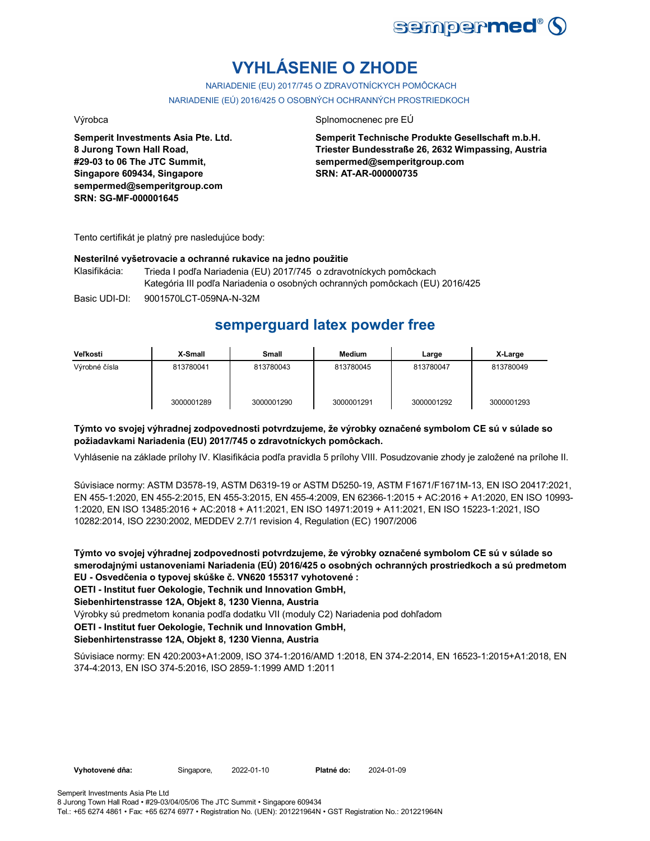

# **VYHLÁSENIE O ZHODE**

NARIADENIE (EU) 2017/745 O ZDRAVOTNÍCKYCH POMÔCKACH NARIADENIE (EÚ) 2016/425 O OSOBNÝCH OCHRANNÝCH PROSTRIEDKOCH

**Semperit Investments Asia Pte. Ltd. 8 Jurong Town Hall Road, #29-03 to 06 The JTC Summit, Singapore 609434, Singapore sempermed@semperitgroup.com SRN: SG-MF-000001645**

#### Výrobca **Splnomocnenec pre EÚ**

**Semperit Technische Produkte Gesellschaft m.b.H. Triester Bundesstraße 26, 2632 Wimpassing, Austria sempermed@semperitgroup.com SRN: AT-AR-000000735**

Tento certifikát je platný pre nasledujúce body:

#### **Nesterilné vyšetrovacie a ochranné rukavice na jedno použitie**

Klasifikácia: Trieda I podľa Nariadenia (EU) 2017/745 o zdravotníckych pomôckach Kategória III podľa Nariadenia o osobných ochranných pomôckach (EU) 2016/425

Basic UDI-DI: 9001570LCT-059NA-N-32M

## **semperguard latex powder free**

| Veľkosti      | X-Small    | <b>Small</b> | <b>Medium</b> | Large      | X-Large    |
|---------------|------------|--------------|---------------|------------|------------|
| Výrobné čísla | 813780041  | 813780043    | 813780045     | 813780047  | 813780049  |
|               | 3000001289 | 3000001290   | 3000001291    | 3000001292 | 3000001293 |

#### **Týmto vo svojej výhradnej zodpovednosti potvrdzujeme, že výrobky označené symbolom CE sú v súlade so požiadavkami Nariadenia (EU) 2017/745 o zdravotníckych pomôckach.**

Vyhlásenie na základe prílohy IV. Klasifikácia podľa pravidla 5 prílohy VIII. Posudzovanie zhody je založené na prílohe II.

Súvisiace normy: ASTM D3578-19, ASTM D6319-19 or ASTM D5250-19, ASTM F1671/F1671M-13, EN ISO 20417:2021, EN 455-1:2020, EN 455-2:2015, EN 455-3:2015, EN 455-4:2009, EN 62366-1:2015 + AC:2016 + A1:2020, EN ISO 10993- 1:2020, EN ISO 13485:2016 + AC:2018 + A11:2021, EN ISO 14971:2019 + A11:2021, EN ISO 15223-1:2021, ISO 10282:2014, ISO 2230:2002, MEDDEV 2.7/1 revision 4, Regulation (EC) 1907/2006

**Týmto vo svojej výhradnej zodpovednosti potvrdzujeme, že výrobky označené symbolom CE sú v súlade so smerodajnými ustanoveniami Nariadenia (EÚ) 2016/425 o osobných ochranných prostriedkoch a sú predmetom EU - Osvedčenia o typovej skúške č. VN620 155317 vyhotovené :**

**OETI - Institut fuer Oekologie, Technik und Innovation GmbH,** 

**Siebenhirtenstrasse 12A, Objekt 8, 1230 Vienna, Austria**

Výrobky sú predmetom konania podľa dodatku VII (moduly C2) Nariadenia pod dohľadom

**OETI - Institut fuer Oekologie, Technik und Innovation GmbH,** 

#### **Siebenhirtenstrasse 12A, Objekt 8, 1230 Vienna, Austria**

Súvisiace normy: EN 420:2003+A1:2009, ISO 374-1:2016/AMD 1:2018, EN 374-2:2014, EN 16523-1:2015+A1:2018, EN 374-4:2013, EN ISO 374-5:2016, ISO 2859-1:1999 AMD 1:2011

**Vyhotovené dňa:** Singapore, 2022-01-10 **Platné do:** 2024-01-09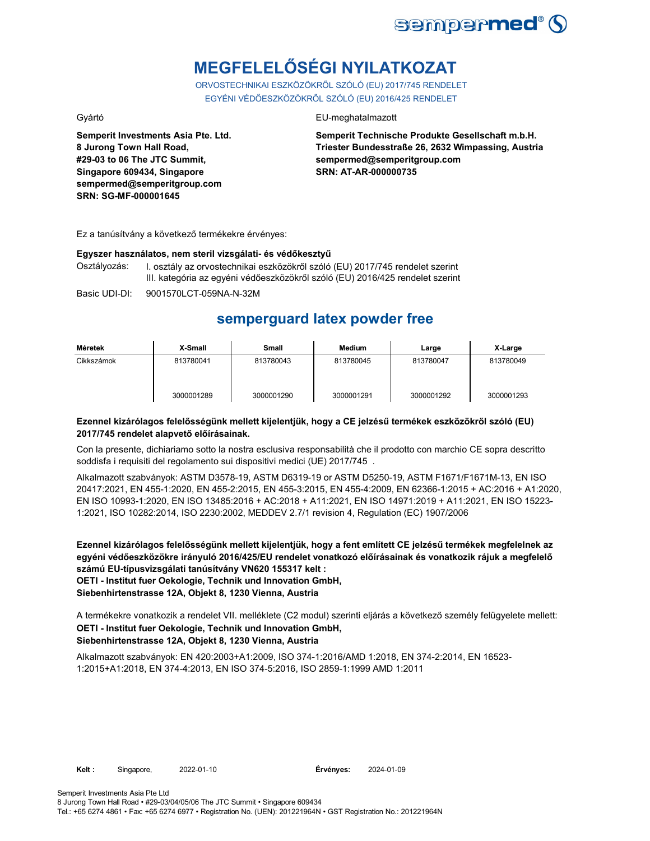

# **MEGFELELŐSÉGI NYILATKOZAT**

ORVOSTECHNIKAI ESZKÖZÖKRŐL SZÓLÓ (EU) 2017/745 RENDELET EGYÉNI VÉDŐESZKÖZÖKRŐL SZÓLÓ (EU) 2016/425 RENDELET

**Semperit Investments Asia Pte. Ltd. 8 Jurong Town Hall Road, #29-03 to 06 The JTC Summit, Singapore 609434, Singapore sempermed@semperitgroup.com SRN: SG-MF-000001645**

#### Gyártó EU-meghatalmazott

**Semperit Technische Produkte Gesellschaft m.b.H. Triester Bundesstraße 26, 2632 Wimpassing, Austria sempermed@semperitgroup.com SRN: AT-AR-000000735**

Ez a tanúsítvány a következő termékekre érvényes:

#### **Egyszer használatos, nem steril vizsgálati- és védőkesztyű**

Osztályozás: I. osztály az orvostechnikai eszközökről szóló (EU) 2017/745 rendelet szerint III. kategória az egyéni védőeszközökről szóló (EU) 2016/425 rendelet szerint

Basic UDI-DI: 9001570LCT-059NA-N-32M

## **semperguard latex powder free**

| Méretek    | X-Small    | Small      | Medium     | Large      | X-Large    |
|------------|------------|------------|------------|------------|------------|
| Cikkszámok | 813780041  | 813780043  | 813780045  | 813780047  | 813780049  |
|            | 3000001289 | 3000001290 | 3000001291 | 3000001292 | 3000001293 |

#### **Ezennel kizárólagos felelősségünk mellett kijelentjük, hogy a CE jelzésű termékek eszközökről szóló (EU) 2017/745 rendelet alapvető előírásainak.**

Con la presente, dichiariamo sotto la nostra esclusiva responsabilità che il prodotto con marchio CE sopra descritto soddisfa i requisiti del regolamento sui dispositivi medici (UE) 2017/745 .

Alkalmazott szabványok: ASTM D3578-19, ASTM D6319-19 or ASTM D5250-19, ASTM F1671/F1671M-13, EN ISO 20417:2021, EN 455-1:2020, EN 455-2:2015, EN 455-3:2015, EN 455-4:2009, EN 62366-1:2015 + AC:2016 + A1:2020, EN ISO 10993-1:2020, EN ISO 13485:2016 + AC:2018 + A11:2021, EN ISO 14971:2019 + A11:2021, EN ISO 15223- 1:2021, ISO 10282:2014, ISO 2230:2002, MEDDEV 2.7/1 revision 4, Regulation (EC) 1907/2006

**Ezennel kizárólagos felelősségünk mellett kijelentjük, hogy a fent említett CE jelzésű termékek megfelelnek az egyéni védőeszközökre irányuló 2016/425/EU rendelet vonatkozó előírásainak és vonatkozik rájuk a megfelelő számú EU-típusvizsgálati tanúsítvány VN620 155317 kelt : OETI - Institut fuer Oekologie, Technik und Innovation GmbH,** 

**Siebenhirtenstrasse 12A, Objekt 8, 1230 Vienna, Austria**

**OETI - Institut fuer Oekologie, Technik und Innovation GmbH, Siebenhirtenstrasse 12A, Objekt 8, 1230 Vienna, Austria** A termékekre vonatkozik a rendelet VII. melléklete (C2 modul) szerinti eljárás a következő személy felügyelete mellett:

Alkalmazott szabványok: EN 420:2003+A1:2009, ISO 374-1:2016/AMD 1:2018, EN 374-2:2014, EN 16523- 1:2015+A1:2018, EN 374-4:2013, EN ISO 374-5:2016, ISO 2859-1:1999 AMD 1:2011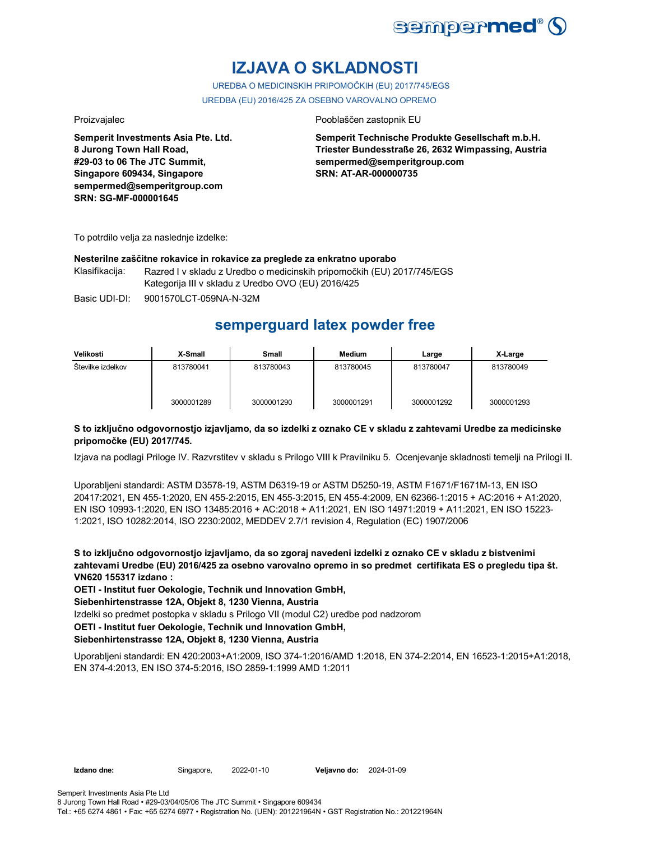

## **IZJAVA O SKLADNOSTI**

UREDBA O MEDICINSKIH PRIPOMOČKIH (EU) 2017/745/EGS UREDBA (EU) 2016/425 ZA OSEBNO VAROVALNO OPREMO

**Semperit Investments Asia Pte. Ltd. 8 Jurong Town Hall Road, #29-03 to 06 The JTC Summit, Singapore 609434, Singapore sempermed@semperitgroup.com SRN: SG-MF-000001645**

#### Proizvajalec Pooblaščen zastopnik EU

**Semperit Technische Produkte Gesellschaft m.b.H. Triester Bundesstraße 26, 2632 Wimpassing, Austria sempermed@semperitgroup.com SRN: AT-AR-000000735**

To potrdilo velja za naslednje izdelke:

#### **Nesterilne zaščitne rokavice in rokavice za preglede za enkratno uporabo**

Klasifikacija: Razred I v skladu z Uredbo o medicinskih pripomočkih (EU) 2017/745/EGS Kategorija III v skladu z Uredbo OVO (EU) 2016/425

Basic UDI-DI: 9001570LCT-059NA-N-32M

## **semperguard latex powder free**

| Velikosti         | X-Small    | <b>Small</b> | <b>Medium</b> | Large      | X-Large    |
|-------------------|------------|--------------|---------------|------------|------------|
| Številke izdelkov | 813780041  | 813780043    | 813780045     | 813780047  | 813780049  |
|                   | 3000001289 | 3000001290   | 3000001291    | 3000001292 | 3000001293 |

#### **S to izključno odgovornostjo izjavljamo, da so izdelki z oznako CE v skladu z zahtevami Uredbe za medicinske pripomočke (EU) 2017/745.**

Izjava na podlagi Priloge IV. Razvrstitev v skladu s Prilogo VIII k Pravilniku 5. Ocenjevanje skladnosti temelji na Prilogi II.

Uporabljeni standardi: ASTM D3578-19, ASTM D6319-19 or ASTM D5250-19, ASTM F1671/F1671M-13, EN ISO 20417:2021, EN 455-1:2020, EN 455-2:2015, EN 455-3:2015, EN 455-4:2009, EN 62366-1:2015 + AC:2016 + A1:2020, EN ISO 10993-1:2020, EN ISO 13485:2016 + AC:2018 + A11:2021, EN ISO 14971:2019 + A11:2021, EN ISO 15223- 1:2021, ISO 10282:2014, ISO 2230:2002, MEDDEV 2.7/1 revision 4, Regulation (EC) 1907/2006

**S to izključno odgovornostjo izjavljamo, da so zgoraj navedeni izdelki z oznako CE v skladu z bistvenimi zahtevami Uredbe (EU) 2016/425 za osebno varovalno opremo in so predmet certifikata ES o pregledu tipa št. VN620 155317 izdano :**

**OETI - Institut fuer Oekologie, Technik und Innovation GmbH,** 

**Siebenhirtenstrasse 12A, Objekt 8, 1230 Vienna, Austria**

Izdelki so predmet postopka v skladu s Prilogo VII (modul C2) uredbe pod nadzorom

**OETI - Institut fuer Oekologie, Technik und Innovation GmbH,** 

### **Siebenhirtenstrasse 12A, Objekt 8, 1230 Vienna, Austria**

Uporabljeni standardi: EN 420:2003+A1:2009, ISO 374-1:2016/AMD 1:2018, EN 374-2:2014, EN 16523-1:2015+A1:2018, EN 374-4:2013, EN ISO 374-5:2016, ISO 2859-1:1999 AMD 1:2011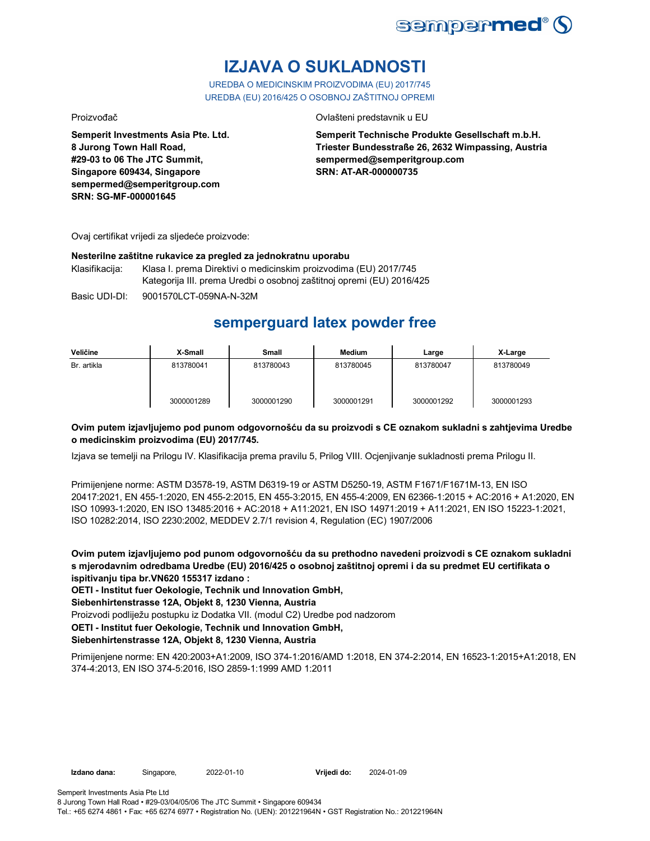

# **IZJAVA O SUKLADNOSTI**

UREDBA O MEDICINSKIM PROIZVODIMA (EU) 2017/745 UREDBA (EU) 2016/425 O OSOBNOJ ZAŠTITNOJ OPREMI

Proizvođač Ovlašteni predstavnik u EU

**Semperit Investments Asia Pte. Ltd. 8 Jurong Town Hall Road, #29-03 to 06 The JTC Summit, Singapore 609434, Singapore sempermed@semperitgroup.com SRN: SG-MF-000001645**

**Semperit Technische Produkte Gesellschaft m.b.H. Triester Bundesstraße 26, 2632 Wimpassing, Austria sempermed@semperitgroup.com SRN: AT-AR-000000735**

Ovaj certifikat vrijedi za sljedeće proizvode:

#### **Nesterilne zaštitne rukavice za pregled za jednokratnu uporabu**

Klasifikacija: Klasa I. prema Direktivi o medicinskim proizvodima (EU) 2017/745 Kategorija III. prema Uredbi o osobnoj zaštitnoj opremi (EU) 2016/425

Basic UDI-DI: 9001570LCT-059NA-N-32M

## **semperguard latex powder free**

| Veličine    | X-Small    | Small      | <b>Medium</b> | Large      | X-Large    |
|-------------|------------|------------|---------------|------------|------------|
| Br. artikla | 813780041  | 813780043  | 813780045     | 813780047  | 813780049  |
|             | 3000001289 | 3000001290 | 3000001291    | 3000001292 | 3000001293 |

### **Ovim putem izjavljujemo pod punom odgovornošću da su proizvodi s CE oznakom sukladni s zahtjevima Uredbe o medicinskim proizvodima (EU) 2017/745.**

Izjava se temelji na Prilogu IV. Klasifikacija prema pravilu 5, Prilog VIII. Ocjenjivanje sukladnosti prema Prilogu II.

Primijenjene norme: ASTM D3578-19, ASTM D6319-19 or ASTM D5250-19, ASTM F1671/F1671M-13, EN ISO 20417:2021, EN 455-1:2020, EN 455-2:2015, EN 455-3:2015, EN 455-4:2009, EN 62366-1:2015 + AC:2016 + A1:2020, EN ISO 10993-1:2020, EN ISO 13485:2016 + AC:2018 + A11:2021, EN ISO 14971:2019 + A11:2021, EN ISO 15223-1:2021, ISO 10282:2014, ISO 2230:2002, MEDDEV 2.7/1 revision 4, Regulation (EC) 1907/2006

**Ovim putem izjavljujemo pod punom odgovornošću da su prethodno navedeni proizvodi s CE oznakom sukladni s mjerodavnim odredbama Uredbe (EU) 2016/425 o osobnoj zaštitnoj opremi i da su predmet EU certifikata o ispitivanju tipa br.VN620 155317 izdano :**

**OETI - Institut fuer Oekologie, Technik und Innovation GmbH,** 

**Siebenhirtenstrasse 12A, Objekt 8, 1230 Vienna, Austria**

Proizvodi podliježu postupku iz Dodatka VII. (modul C2) Uredbe pod nadzorom

**OETI - Institut fuer Oekologie, Technik und Innovation GmbH,** 

### **Siebenhirtenstrasse 12A, Objekt 8, 1230 Vienna, Austria**

Primijenjene norme: EN 420:2003+A1:2009, ISO 374-1:2016/AMD 1:2018, EN 374-2:2014, EN 16523-1:2015+A1:2018, EN 374-4:2013, EN ISO 374-5:2016, ISO 2859-1:1999 AMD 1:2011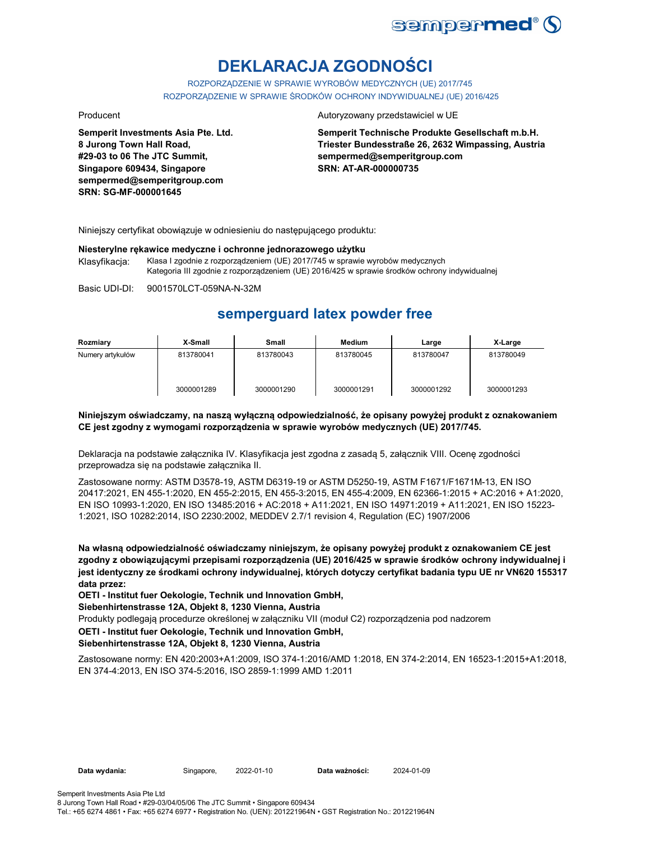

# **DEKLARACJA ZGODNOŚCI**

ROZPORZĄDZENIE W SPRAWIE WYROBÓW MEDYCZNYCH (UE) 2017/745 ROZPORZĄDZENIE W SPRAWIE ŚRODKÓW OCHRONY INDYWIDUALNEJ (UE) 2016/425

**Semperit Investments Asia Pte. Ltd. 8 Jurong Town Hall Road, #29-03 to 06 The JTC Summit, Singapore 609434, Singapore sempermed@semperitgroup.com SRN: SG-MF-000001645**

#### Producent **Autoryzowany przedstawiciel w UE**

**Semperit Technische Produkte Gesellschaft m.b.H. Triester Bundesstraße 26, 2632 Wimpassing, Austria sempermed@semperitgroup.com SRN: AT-AR-000000735**

Niniejszy certyfikat obowiązuje w odniesieniu do następującego produktu:

#### **Niesterylne rękawice medyczne i ochronne jednorazowego użytku**

Klasyfikacja: Klasa I zgodnie z rozporządzeniem (UE) 2017/745 w sprawie wyrobów medycznych Kategoria III zgodnie z rozporządzeniem (UE) 2016/425 w sprawie środków ochrony indywidualnej

Basic UDI-DI: 9001570LCT-059NA-N-32M

## **semperguard latex powder free**

| Rozmiary         | X-Small    | Small      | Medium     | Large      | X-Large    |
|------------------|------------|------------|------------|------------|------------|
| Numery artykułów | 813780041  | 813780043  | 813780045  | 813780047  | 813780049  |
|                  | 3000001289 | 3000001290 | 3000001291 | 3000001292 | 3000001293 |

#### **Niniejszym oświadczamy, na naszą wyłączną odpowiedzialność, że opisany powyżej produkt z oznakowaniem CE jest zgodny z wymogami rozporządzenia w sprawie wyrobów medycznych (UE) 2017/745.**

Deklaracja na podstawie załącznika IV. Klasyfikacja jest zgodna z zasadą 5, załącznik VIII. Ocenę zgodności przeprowadza się na podstawie załącznika II.

Zastosowane normy: ASTM D3578-19, ASTM D6319-19 or ASTM D5250-19, ASTM F1671/F1671M-13, EN ISO 20417:2021, EN 455-1:2020, EN 455-2:2015, EN 455-3:2015, EN 455-4:2009, EN 62366-1:2015 + AC:2016 + A1:2020, EN ISO 10993-1:2020, EN ISO 13485:2016 + AC:2018 + A11:2021, EN ISO 14971:2019 + A11:2021, EN ISO 15223- 1:2021, ISO 10282:2014, ISO 2230:2002, MEDDEV 2.7/1 revision 4, Regulation (EC) 1907/2006

**Na własną odpowiedzialność oświadczamy niniejszym, że opisany powyżej produkt z oznakowaniem CE jest zgodny z obowiązującymi przepisami rozporządzenia (UE) 2016/425 w sprawie środków ochrony indywidualnej i jest identyczny ze środkami ochrony indywidualnej, których dotyczy certyfikat badania typu UE nr VN620 155317 data przez:**

**OETI - Institut fuer Oekologie, Technik und Innovation GmbH,** 

**Siebenhirtenstrasse 12A, Objekt 8, 1230 Vienna, Austria**

Produkty podlegają procedurze określonej w załączniku VII (moduł C2) rozporządzenia pod nadzorem

#### **OETI - Institut fuer Oekologie, Technik und Innovation GmbH,**

#### **Siebenhirtenstrasse 12A, Objekt 8, 1230 Vienna, Austria**

Zastosowane normy: EN 420:2003+A1:2009, ISO 374-1:2016/AMD 1:2018, EN 374-2:2014, EN 16523-1:2015+A1:2018, EN 374-4:2013, EN ISO 374-5:2016, ISO 2859-1:1999 AMD 1:2011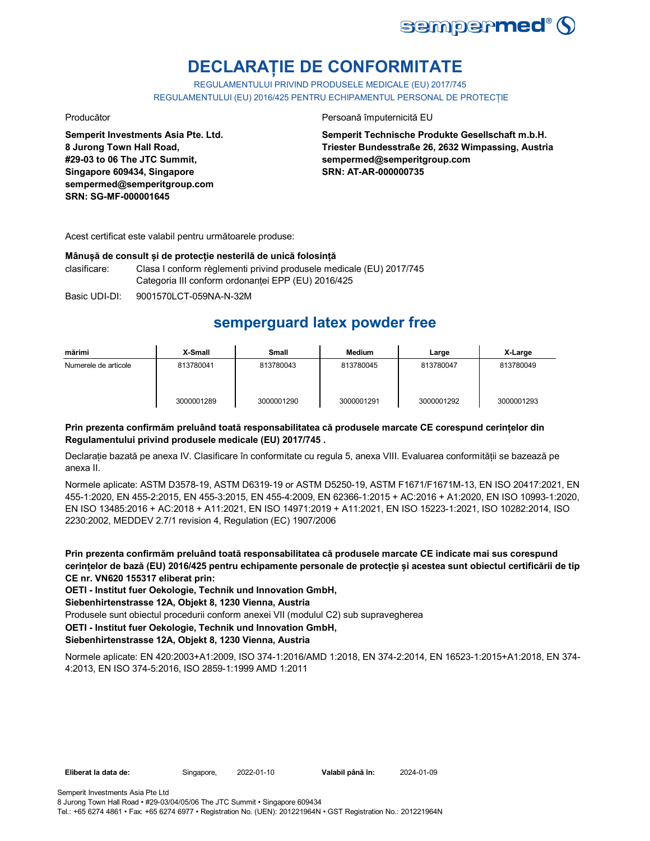

## **DECLARAȚIE DE CONFORMITATE**

REGULAMENTULUI PRIVIND PRODUSELE MEDICALE (EU) 2017/745 REGULAMENTULUI (EU) 2016/425 PENTRU ECHIPAMENTUL PERSONAL DE PROTECȚIE

**Semperit Investments Asia Pte. Ltd. 8 Jurong Town Hall Road, #29-03 to 06 The JTC Summit, Singapore 609434, Singapore sempermed@semperitgroup.com SRN: SG-MF-000001645**

Producător **Producător** Persoană împuternicită EU

**Semperit Technische Produkte Gesellschaft m.b.H. Triester Bundesstraße 26, 2632 Wimpassing, Austria sempermed@semperitgroup.com SRN: AT-AR-000000735**

Acest certificat este valabil pentru următoarele produse:

### **Mânușă de consult și de protecție nesterilă de unică folosință**

clasificare: Clasa I conform règlementi privind produsele medicale (EU) 2017/745 Categoria III conform ordonanței EPP (EU) 2016/425

Basic UDI-DI: 9001570LCT-059NA-N-32M

## **semperguard latex powder free**

| mărimi               | X-Small    | <b>Small</b> | Medium     | Large      | X-Large    |
|----------------------|------------|--------------|------------|------------|------------|
| Numerele de articole | 813780041  | 813780043    | 813780045  | 813780047  | 813780049  |
|                      | 3000001289 | 3000001290   | 3000001291 | 3000001292 | 3000001293 |

### **Prin prezenta confirmăm preluând toată responsabilitatea că produsele marcate CE corespund cerințelor din Regulamentului privind produsele medicale (EU) 2017/745 .**

Declarație bazată pe anexa IV. Clasificare în conformitate cu regula 5, anexa VIII. Evaluarea conformității se bazează pe anexa II.

Normele aplicate: ASTM D3578-19, ASTM D6319-19 or ASTM D5250-19, ASTM F1671/F1671M-13, EN ISO 20417:2021, EN 455-1:2020, EN 455-2:2015, EN 455-3:2015, EN 455-4:2009, EN 62366-1:2015 + AC:2016 + A1:2020, EN ISO 10993-1:2020, EN ISO 13485:2016 + AC:2018 + A11:2021, EN ISO 14971:2019 + A11:2021, EN ISO 15223-1:2021, ISO 10282:2014, ISO 2230:2002, MEDDEV 2.7/1 revision 4, Regulation (EC) 1907/2006

**Prin prezenta confirmăm preluând toată responsabilitatea că produsele marcate CE indicate mai sus corespund cerințelor de bază (EU) 2016/425 pentru echipamente personale de protecție și acestea sunt obiectul certificării de tip CE nr. VN620 155317 eliberat prin:**

**OETI - Institut fuer Oekologie, Technik und Innovation GmbH,** 

**Siebenhirtenstrasse 12A, Objekt 8, 1230 Vienna, Austria**

Produsele sunt obiectul procedurii conform anexei VII (modulul C2) sub supravegherea

**OETI - Institut fuer Oekologie, Technik und Innovation GmbH,** 

### **Siebenhirtenstrasse 12A, Objekt 8, 1230 Vienna, Austria**

Normele aplicate: EN 420:2003+A1:2009, ISO 374-1:2016/AMD 1:2018, EN 374-2:2014, EN 16523-1:2015+A1:2018, EN 374- 4:2013, EN ISO 374-5:2016, ISO 2859-1:1999 AMD 1:2011

Tel.: +65 6274 4861 • Fax: +65 6274 6977 • Registration No. (UEN): 201221964N • GST Registration No.: 201221964N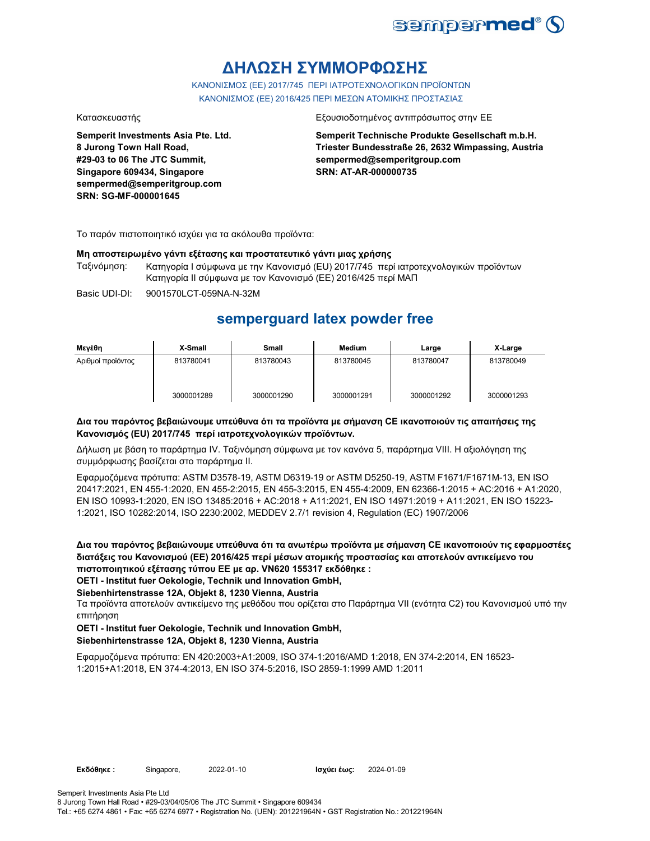

## **ΔΗΛΩΣΗ ΣΥΜΜΟΡΦΩΣΗΣ**

ΚΑΝΟΝΙΣΜΟΣ (EE) 2017/745 ΠΕΡΙ ΙΑΤΡΟΤΕΧΝΟΛΟΓΙΚΩΝ ΠΡΟΪΟΝΤΩΝ ΚΑΝΟΝΙΣΜΟΣ (ΕΕ) 2016/425 ΠΕΡΙ ΜΕΣΩΝ ΑΤΟΜΙΚΗΣ ΠΡΟΣΤΑΣΙΑΣ

**Semperit Investments Asia Pte. Ltd. 8 Jurong Town Hall Road, #29-03 to 06 The JTC Summit, Singapore 609434, Singapore sempermed@semperitgroup.com SRN: SG-MF-000001645**

#### Κατασκευαστής Εξουσιοδοτημένος αντιπρόσωπος στην ΕΕ

**Semperit Technische Produkte Gesellschaft m.b.H. Triester Bundesstraße 26, 2632 Wimpassing, Austria sempermed@semperitgroup.com SRN: AT-AR-000000735**

Το παρόν πιστοποιητικό ισχύει για τα ακόλουθα προϊόντα:

#### **Μη αποστειρωμένο γάντι εξέτασης και προστατευτικό γάντι μιας χρήσης**

Ταξινόμηση: Κατηγορία I σύμφωνα με την Κανονισμό (EU) 2017/745 περί ιατροτεχνολογικών προϊόντων Κατηγορία II σύμφωνα με τον Κανονισμό (ΕΕ) 2016/425 περί ΜΑΠ

Basic UDI-DI: 9001570LCT-059NA-N-32M

## **semperguard latex powder free**

| Μενέθη            | X-Small    | Small      | Medium     | Large      | X-Large    |
|-------------------|------------|------------|------------|------------|------------|
| Αριθμοί προϊόντος | 813780041  | 813780043  | 813780045  | 813780047  | 813780049  |
|                   | 3000001289 | 3000001290 | 3000001291 | 3000001292 | 3000001293 |

#### **Δια του παρόντος βεβαιώνουμε υπεύθυνα ότι τα προϊόντα με σήμανση CE ικανοποιούν τις απαιτήσεις της Κανονισμός (EU) 2017/745 περί ιατροτεχνολογικών προϊόντων.**

Δήλωση με βάση το παράρτημα IV. Ταξινόμηση σύμφωνα με τον κανόνα 5, παράρτημα VIII. Η αξιολόγηση της συμμόρφωσης βασίζεται στο παράρτημα II.

Εφαρμοζόμενα πρότυπα: ASTM D3578-19, ASTM D6319-19 or ASTM D5250-19, ASTM F1671/F1671M-13, EN ISO 20417:2021, EN 455-1:2020, EN 455-2:2015, EN 455-3:2015, EN 455-4:2009, EN 62366-1:2015 + AC:2016 + A1:2020, EN ISO 10993-1:2020, EN ISO 13485:2016 + AC:2018 + A11:2021, EN ISO 14971:2019 + A11:2021, EN ISO 15223- 1:2021, ISO 10282:2014, ISO 2230:2002, MEDDEV 2.7/1 revision 4, Regulation (EC) 1907/2006

**Δια του παρόντος βεβαιώνουμε υπεύθυνα ότι τα ανωτέρω προϊόντα με σήμανση CE ικανοποιούν τις εφαρμοστέες διατάξεις του Κανονισμού (ΕΕ) 2016/425 περί μέσων ατομικής προστασίας και αποτελούν αντικείμενο του πιστοποιητικού εξέτασης τύπου ΕΕ με αρ. VN620 155317 εκδόθηκε :**

**OETI - Institut fuer Oekologie, Technik und Innovation GmbH,** 

#### **Siebenhirtenstrasse 12A, Objekt 8, 1230 Vienna, Austria**

Τα προϊόντα αποτελούν αντικείμενο της μεθόδου που ορίζεται στο Παράρτημα VII (ενότητα C2) του Κανονισμού υπό την επιτήρηση

#### **OETI - Institut fuer Oekologie, Technik und Innovation GmbH, Siebenhirtenstrasse 12A, Objekt 8, 1230 Vienna, Austria**

Εφαρμοζόμενα πρότυπα: EN 420:2003+A1:2009, ISO 374-1:2016/AMD 1:2018, EN 374-2:2014, EN 16523- 1:2015+A1:2018, EN 374-4:2013, EN ISO 374-5:2016, ISO 2859-1:1999 AMD 1:2011

Semperit Investments Asia Pte Ltd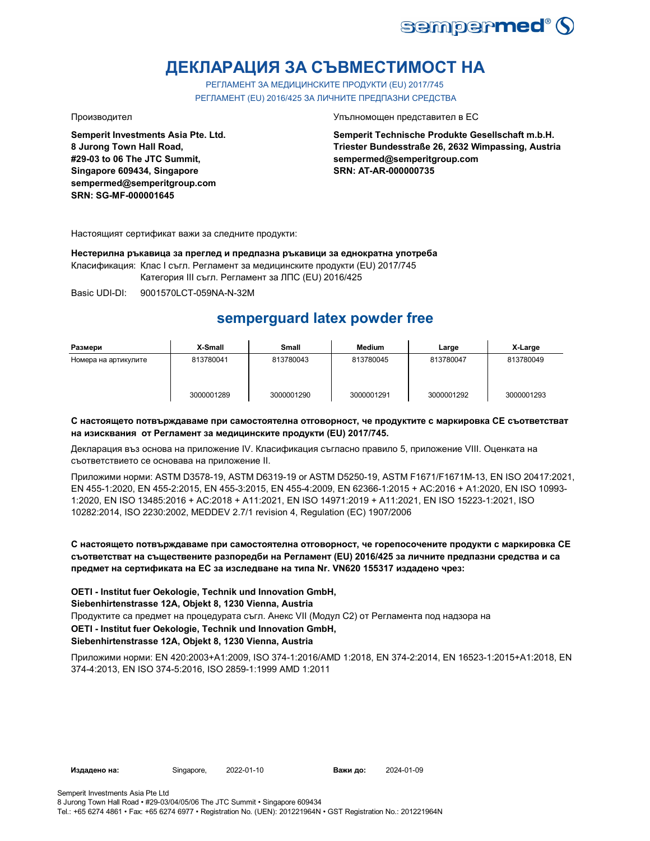

## **ДЕКЛАРАЦИЯ ЗА СЪВМЕСТИМОСТ НА**

РЕГЛАМЕНТ ЗА МЕДИЦИНСКИТЕ ПРОДУКТИ (EU) 2017/745 РЕГЛАМЕНТ (EU) 2016/425 ЗА ЛИЧНИТЕ ПРЕДПАЗНИ СРЕДСТВА

**Semperit Investments Asia Pte. Ltd. 8 Jurong Town Hall Road, #29-03 to 06 The JTC Summit, Singapore 609434, Singapore sempermed@semperitgroup.com SRN: SG-MF-000001645**

Производител Упълномощен представител в ЕС

**Semperit Technische Produkte Gesellschaft m.b.H. Triester Bundesstraße 26, 2632 Wimpassing, Austria sempermed@semperitgroup.com SRN: AT-AR-000000735**

Настоящият сертификат важи за следните продукти:

**Нестерилна ръкавица за преглед и предпазна ръкавици за еднократна употреба**

Класификация: Клас I съгл. Регламент за медицинските продукти (EU) 2017/745

Категория III съгл. Регламент за ЛПС (EU) 2016/425

Basic UDI-DI: 9001570LCT-059NA-N-32M

## **semperguard latex powder free**

| Размери              | X-Small    | Small      | <b>Medium</b> | Large      | X-Large    |
|----------------------|------------|------------|---------------|------------|------------|
| Номера на артикулите | 813780041  | 813780043  | 813780045     | 813780047  | 813780049  |
|                      | 3000001289 | 3000001290 | 3000001291    | 3000001292 | 3000001293 |

#### **С настоящето потвърждаваме при самостоятелна отговорност, че продуктите с маркировка СЕ съответстват на изисквания от Регламент за медицинските продукти (EU) 2017/745.**

Декларация въз основа на приложение IV. Класификация съгласно правило 5, приложение VIII. Оценката на съответствието се основава на приложение II.

Приложими норми: ASTM D3578-19, ASTM D6319-19 or ASTM D5250-19, ASTM F1671/F1671M-13, EN ISO 20417:2021, EN 455-1:2020, EN 455-2:2015, EN 455-3:2015, EN 455-4:2009, EN 62366-1:2015 + AC:2016 + A1:2020, EN ISO 10993- 1:2020, EN ISO 13485:2016 + AC:2018 + A11:2021, EN ISO 14971:2019 + A11:2021, EN ISO 15223-1:2021, ISO 10282:2014, ISO 2230:2002, MEDDEV 2.7/1 revision 4, Regulation (EC) 1907/2006

### **С настоящето потвърждаваме при самостоятелна отговорност, че горепосочените продукти с маркировка СЕ съответстват на съществените разпоредби на Регламент (EU) 2016/425 за личните предпазни средства и са предмет на сертификата на ЕС за изследване на типа Nr. VN620 155317 издадено чрез:**

**OETI - Institut fuer Oekologie, Technik und Innovation GmbH,** 

#### **Siebenhirtenstrasse 12A, Objekt 8, 1230 Vienna, Austria**

Продуктите са предмет на процедурата съгл. Анекс VII (Модул С2) от Регламента под надзора на

### **OETI - Institut fuer Oekologie, Technik und Innovation GmbH,**

#### **Siebenhirtenstrasse 12A, Objekt 8, 1230 Vienna, Austria**

Приложими норми: EN 420:2003+A1:2009, ISO 374-1:2016/AMD 1:2018, EN 374-2:2014, EN 16523-1:2015+A1:2018, EN 374-4:2013, EN ISO 374-5:2016, ISO 2859-1:1999 AMD 1:2011

**Издадено на:** Singapore, 2022-01-10 **Важи до:** 2024-01-09